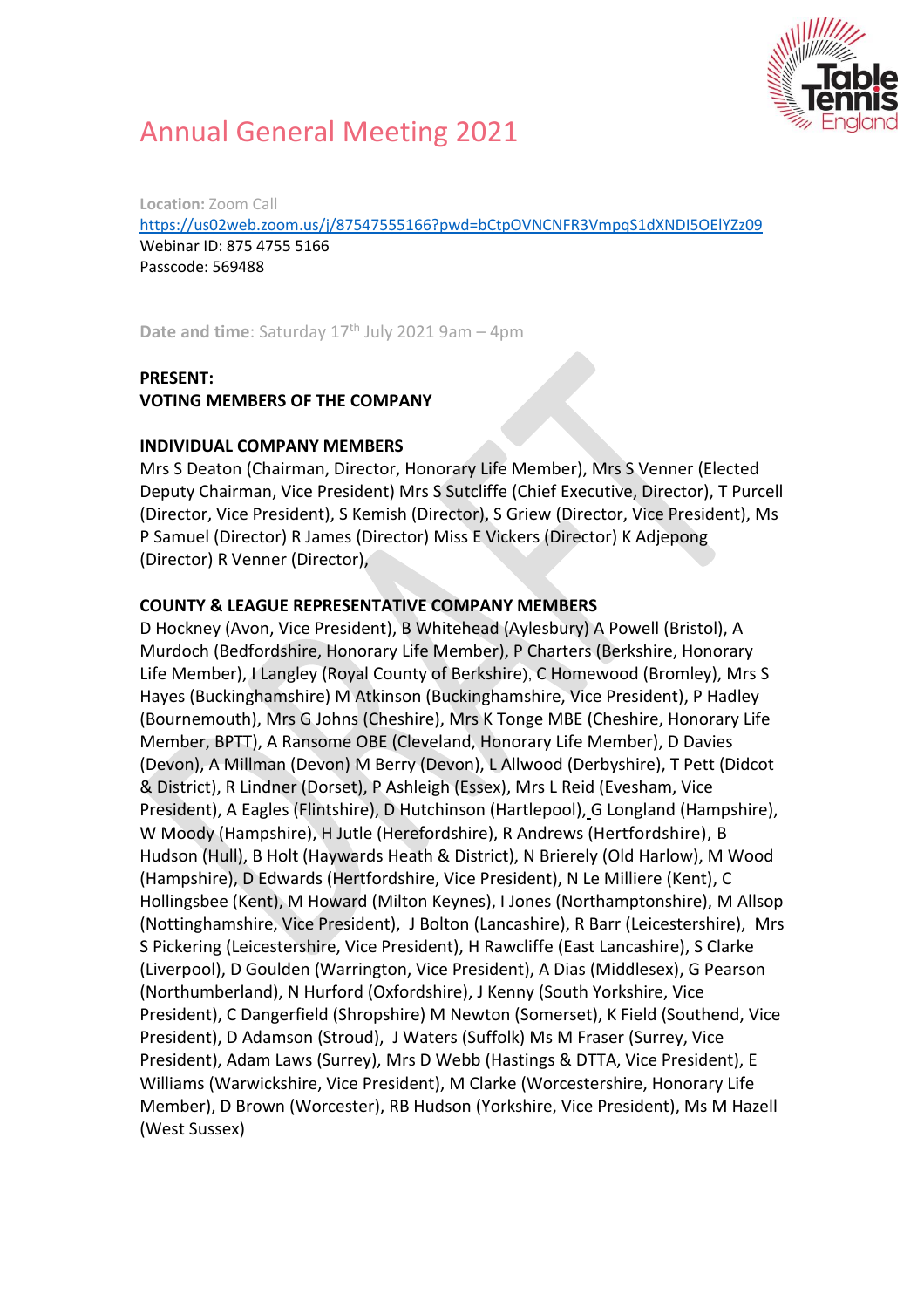

# Annual General Meeting 2021

**Location:** Zoom Call

<https://us02web.zoom.us/j/87547555166?pwd=bCtpOVNCNFR3VmpqS1dXNDI5OElYZz09> Webinar ID: 875 4755 5166 Passcode: 569488

**Date and time**: Saturday 17<sup>th</sup> July 2021 9am - 4pm

#### **PRESENT:**

**VOTING MEMBERS OF THE COMPANY** 

#### **INDIVIDUAL COMPANY MEMBERS**

Mrs S Deaton (Chairman, Director, Honorary Life Member), Mrs S Venner (Elected Deputy Chairman, Vice President) Mrs S Sutcliffe (Chief Executive, Director), T Purcell (Director, Vice President), S Kemish (Director), S Griew (Director, Vice President), Ms P Samuel (Director) R James (Director) Miss E Vickers (Director) K Adjepong (Director) R Venner (Director),

#### **COUNTY & LEAGUE REPRESENTATIVE COMPANY MEMBERS**

D Hockney (Avon, Vice President), B Whitehead (Aylesbury) A Powell (Bristol), A Murdoch (Bedfordshire, Honorary Life Member), P Charters (Berkshire, Honorary Life Member), I Langley (Royal County of Berkshire), C Homewood (Bromley), Mrs S Hayes (Buckinghamshire) M Atkinson (Buckinghamshire, Vice President), P Hadley (Bournemouth), Mrs G Johns (Cheshire), Mrs K Tonge MBE (Cheshire, Honorary Life Member, BPTT), A Ransome OBE (Cleveland, Honorary Life Member), D Davies (Devon), A Millman (Devon) M Berry (Devon), L Allwood (Derbyshire), T Pett (Didcot & District), R Lindner (Dorset), P Ashleigh (Essex), Mrs L Reid (Evesham, Vice President), A Eagles (Flintshire), D Hutchinson (Hartlepool), G Longland (Hampshire), W Moody (Hampshire), H Jutle (Herefordshire), R Andrews (Hertfordshire), B Hudson (Hull), B Holt (Haywards Heath & District), N Brierely (Old Harlow), M Wood (Hampshire), D Edwards (Hertfordshire, Vice President), N Le Milliere (Kent), C Hollingsbee (Kent), M Howard (Milton Keynes), I Jones (Northamptonshire), M Allsop (Nottinghamshire, Vice President), J Bolton (Lancashire), R Barr (Leicestershire), Mrs S Pickering (Leicestershire, Vice President), H Rawcliffe (East Lancashire), S Clarke (Liverpool), D Goulden (Warrington, Vice President), A Dias (Middlesex), G Pearson (Northumberland), N Hurford (Oxfordshire), J Kenny (South Yorkshire, Vice President), C Dangerfield (Shropshire) M Newton (Somerset), K Field (Southend, Vice President), D Adamson (Stroud), J Waters (Suffolk) Ms M Fraser (Surrey, Vice President), Adam Laws (Surrey), Mrs D Webb (Hastings & DTTA, Vice President), E Williams (Warwickshire, Vice President), M Clarke (Worcestershire, Honorary Life Member), D Brown (Worcester), RB Hudson (Yorkshire, Vice President), Ms M Hazell (West Sussex)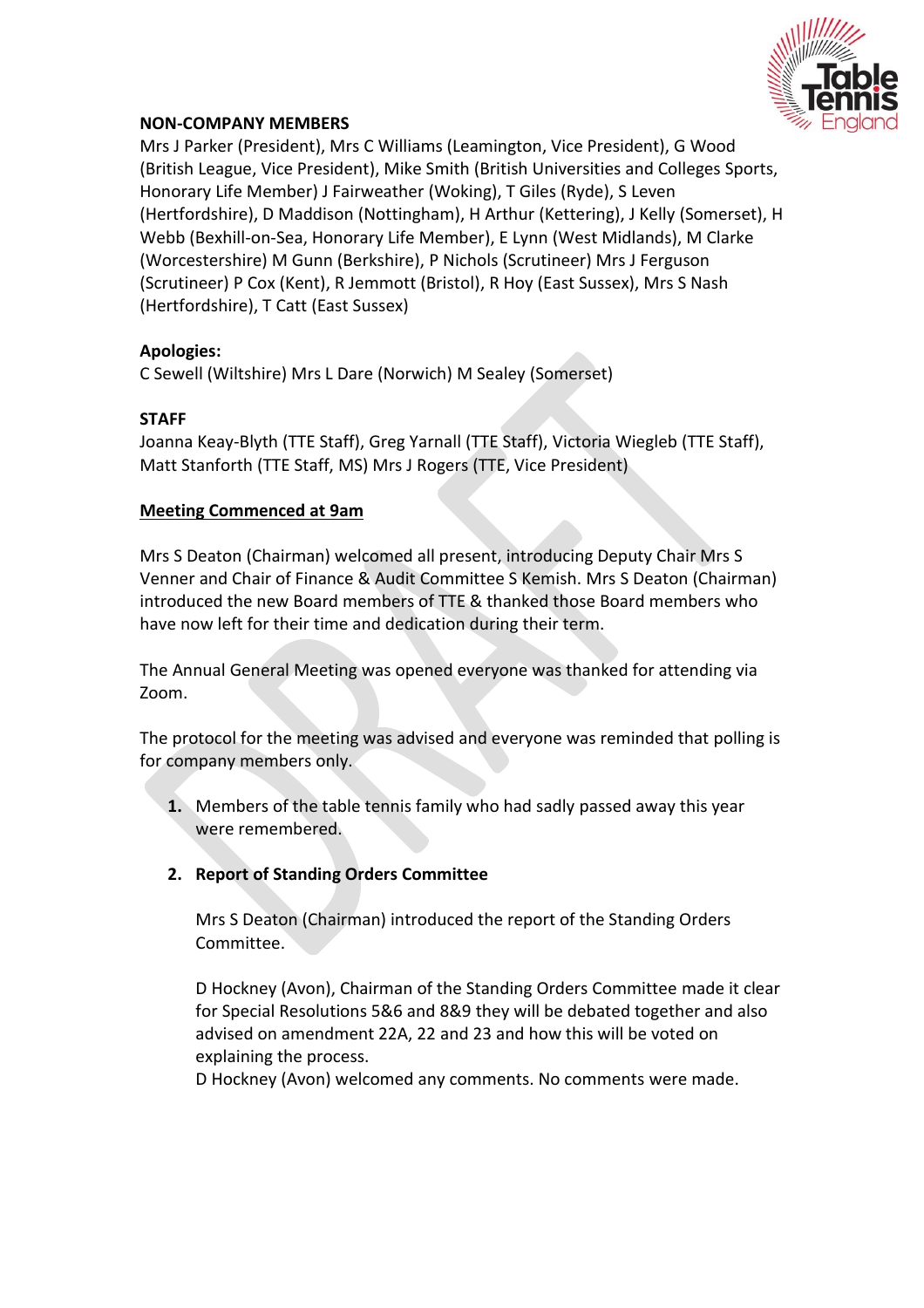

#### **NON-COMPANY MEMBERS**

Mrs J Parker (President), Mrs C Williams (Leamington, Vice President), G Wood (British League, Vice President), Mike Smith (British Universities and Colleges Sports, Honorary Life Member) J Fairweather (Woking), T Giles (Ryde), S Leven (Hertfordshire), D Maddison (Nottingham), H Arthur (Kettering), J Kelly (Somerset), H Webb (Bexhill-on-Sea, Honorary Life Member), E Lynn (West Midlands), M Clarke (Worcestershire) M Gunn (Berkshire), P Nichols (Scrutineer) Mrs J Ferguson (Scrutineer) P Cox (Kent), R Jemmott (Bristol), R Hoy (East Sussex), Mrs S Nash (Hertfordshire), T Catt (East Sussex)

#### **Apologies:**

C Sewell (Wiltshire) Mrs L Dare (Norwich) M Sealey (Somerset)

#### **STAFF**

Joanna Keay-Blyth (TTE Staff), Greg Yarnall (TTE Staff), Victoria Wiegleb (TTE Staff), Matt Stanforth (TTE Staff, MS) Mrs J Rogers (TTE, Vice President)

#### **Meeting Commenced at 9am**

Mrs S Deaton (Chairman) welcomed all present, introducing Deputy Chair Mrs S Venner and Chair of Finance & Audit Committee S Kemish. Mrs S Deaton (Chairman) introduced the new Board members of TTE & thanked those Board members who have now left for their time and dedication during their term.

The Annual General Meeting was opened everyone was thanked for attending via Zoom.

The protocol for the meeting was advised and everyone was reminded that polling is for company members only.

- **1.** Members of the table tennis family who had sadly passed away this year were remembered.
- **2. Report of Standing Orders Committee**

Mrs S Deaton (Chairman) introduced the report of the Standing Orders Committee.

D Hockney (Avon), Chairman of the Standing Orders Committee made it clear for Special Resolutions 5&6 and 8&9 they will be debated together and also advised on amendment 22A, 22 and 23 and how this will be voted on explaining the process.

D Hockney (Avon) welcomed any comments. No comments were made.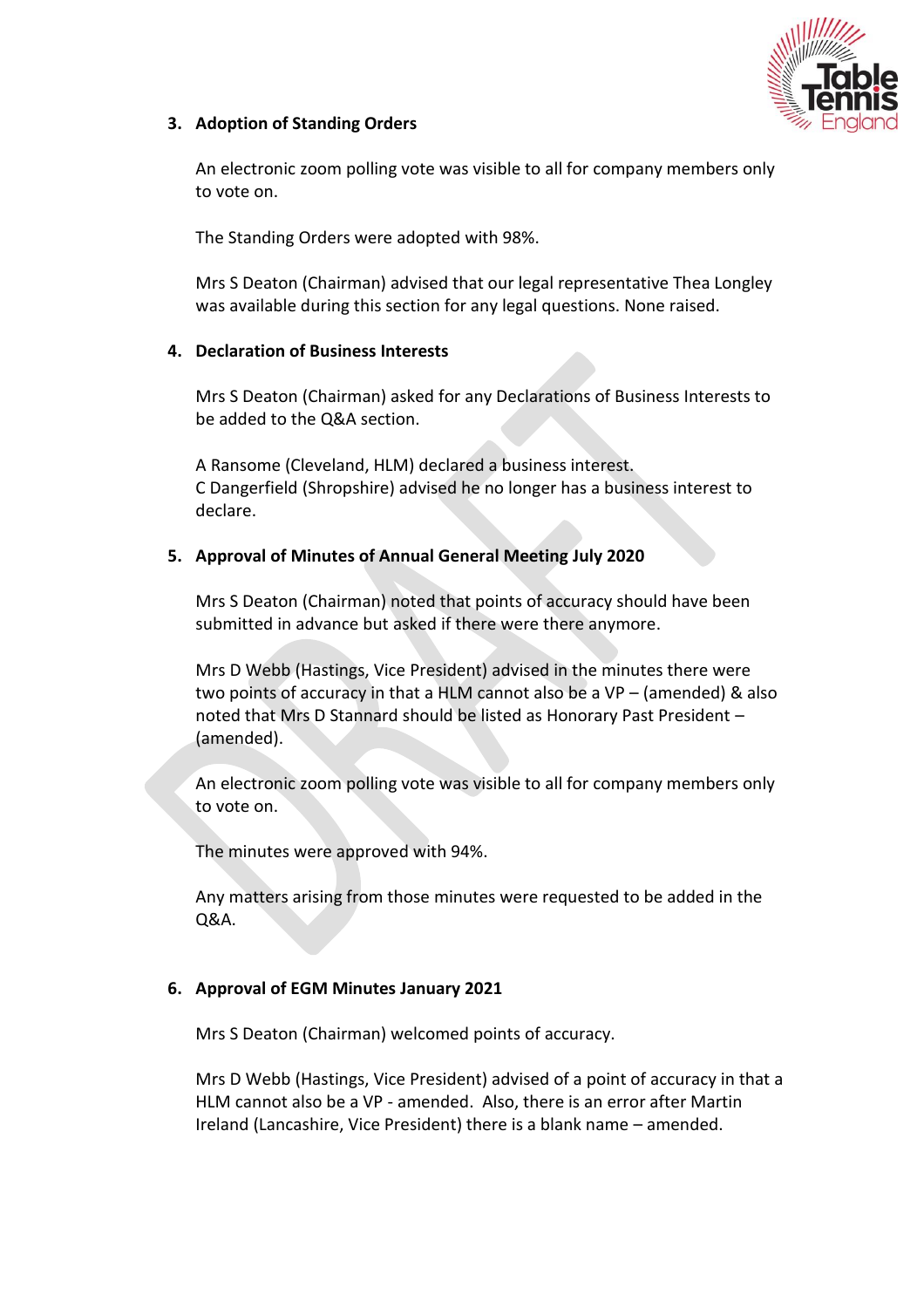

## **3. Adoption of Standing Orders**

An electronic zoom polling vote was visible to all for company members only to vote on.

The Standing Orders were adopted with 98%.

Mrs S Deaton (Chairman) advised that our legal representative Thea Longley was available during this section for any legal questions. None raised.

## **4. Declaration of Business Interests**

Mrs S Deaton (Chairman) asked for any Declarations of Business Interests to be added to the Q&A section.

A Ransome (Cleveland, HLM) declared a business interest. C Dangerfield (Shropshire) advised he no longer has a business interest to declare.

## **5. Approval of Minutes of Annual General Meeting July 2020**

Mrs S Deaton (Chairman) noted that points of accuracy should have been submitted in advance but asked if there were there anymore.

Mrs D Webb (Hastings, Vice President) advised in the minutes there were two points of accuracy in that a HLM cannot also be a  $VP -$  (amended) & also noted that Mrs D Stannard should be listed as Honorary Past President – (amended).

An electronic zoom polling vote was visible to all for company members only to vote on.

The minutes were approved with 94%.

Any matters arising from those minutes were requested to be added in the Q&A.

#### **6. Approval of EGM Minutes January 2021**

Mrs S Deaton (Chairman) welcomed points of accuracy.

Mrs D Webb (Hastings, Vice President) advised of a point of accuracy in that a HLM cannot also be a VP - amended. Also, there is an error after Martin Ireland (Lancashire, Vice President) there is a blank name – amended.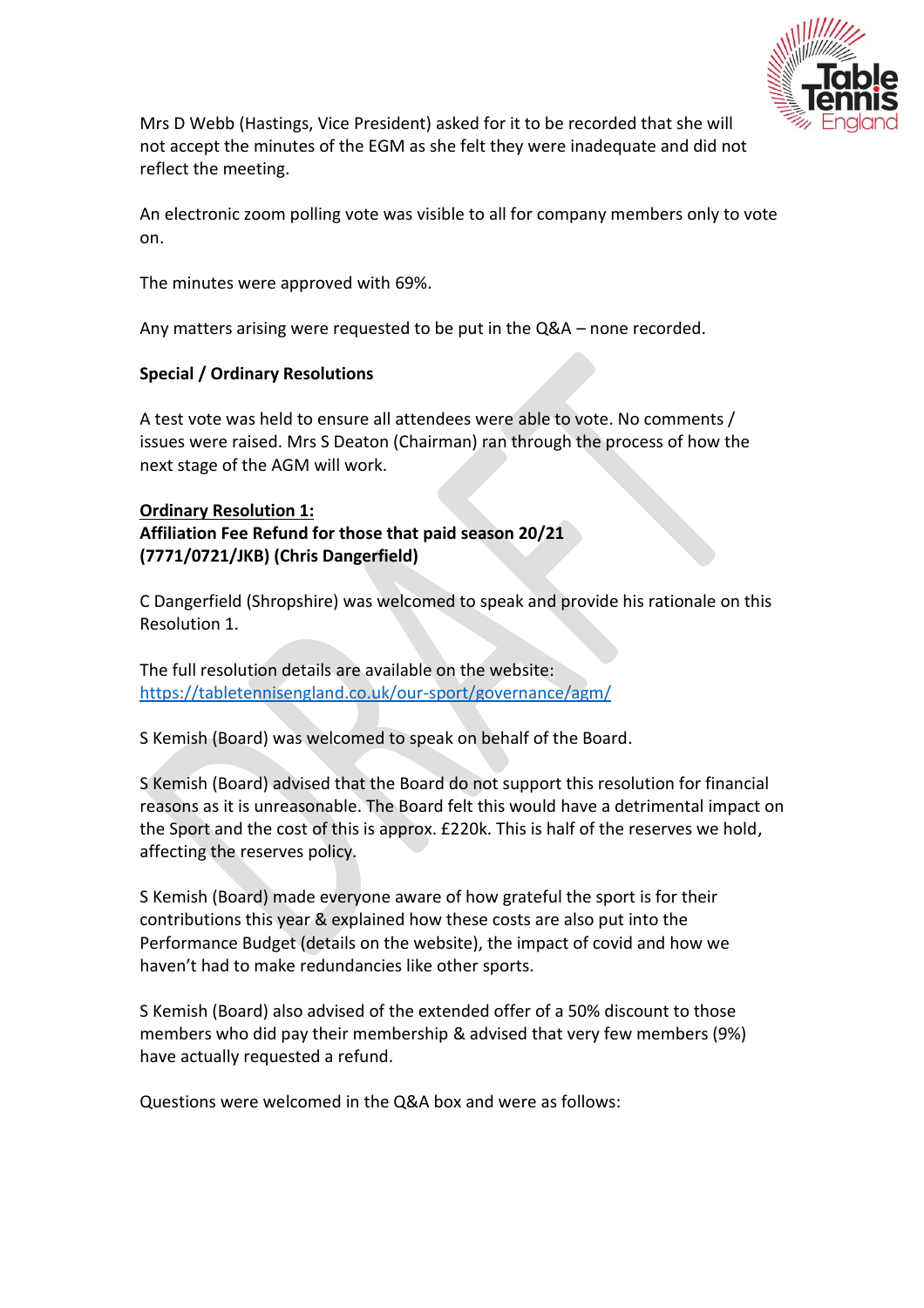

Mrs D Webb (Hastings, Vice President) asked for it to be recorded that she will not accept the minutes of the EGM as she felt they were inadequate and did not reflect the meeting.

An electronic zoom polling vote was visible to all for company members only to vote on.

The minutes were approved with 69%.

Any matters arising were requested to be put in the Q&A – none recorded.

#### **Special / Ordinary Resolutions**

A test vote was held to ensure all attendees were able to vote. No comments / issues were raised. Mrs S Deaton (Chairman) ran through the process of how the next stage of the AGM will work.

## **Ordinary Resolution 1: Affiliation Fee Refund for those that paid season 20/21 (7771/0721/JKB) (Chris Dangerfield)**

C Dangerfield (Shropshire) was welcomed to speak and provide his rationale on this Resolution 1.

The full resolution details are available on the website: <https://tabletennisengland.co.uk/our-sport/governance/agm/>

S Kemish (Board) was welcomed to speak on behalf of the Board.

S Kemish (Board) advised that the Board do not support this resolution for financial reasons as it is unreasonable. The Board felt this would have a detrimental impact on the Sport and the cost of this is approx. £220k. This is half of the reserves we hold, affecting the reserves policy.

S Kemish (Board) made everyone aware of how grateful the sport is for their contributions this year & explained how these costs are also put into the Performance Budget (details on the website), the impact of covid and how we haven't had to make redundancies like other sports.

S Kemish (Board) also advised of the extended offer of a 50% discount to those members who did pay their membership & advised that very few members (9%) have actually requested a refund.

Questions were welcomed in the Q&A box and were as follows: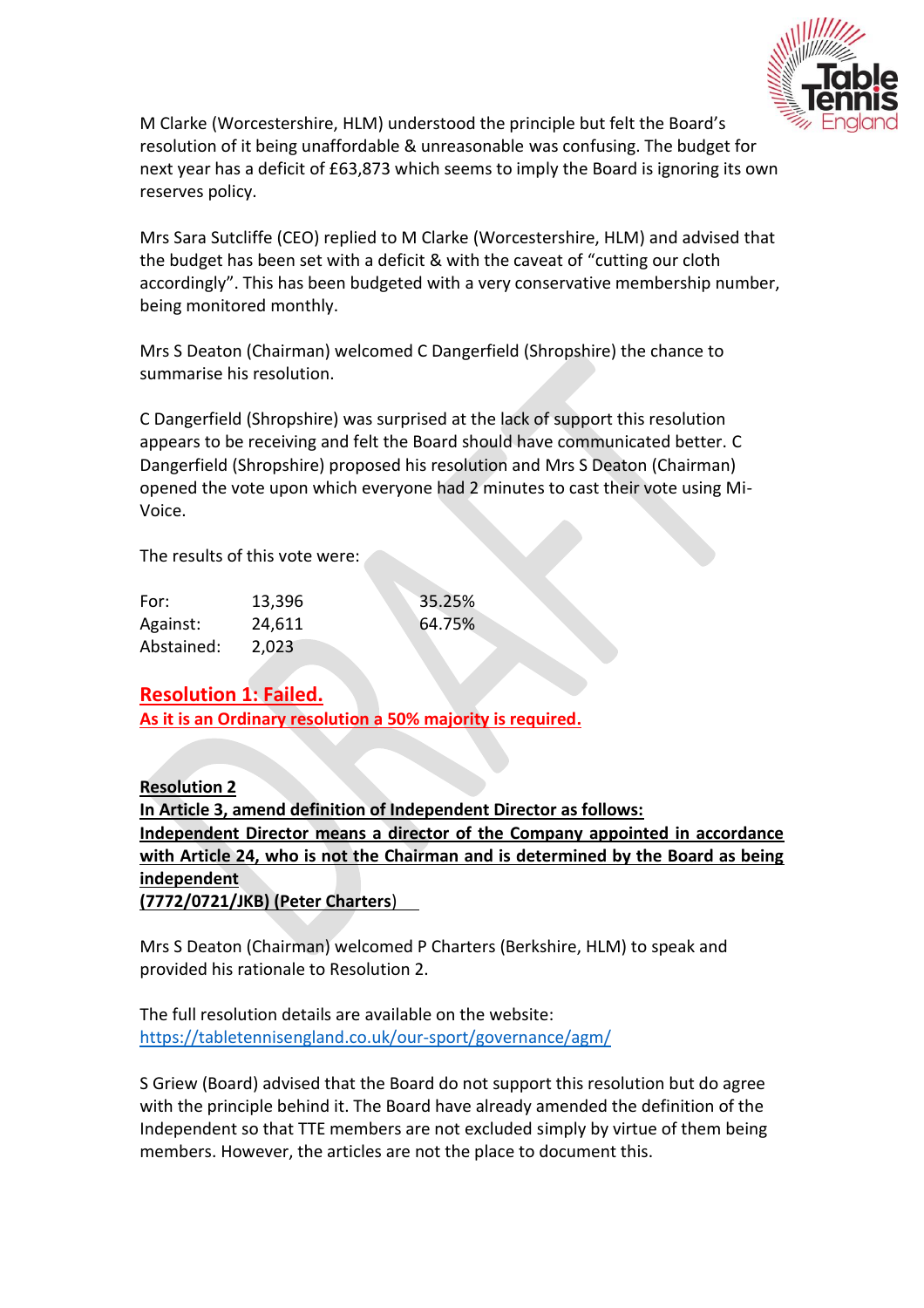

M Clarke (Worcestershire, HLM) understood the principle but felt the Board's resolution of it being unaffordable & unreasonable was confusing. The budget for next year has a deficit of £63,873 which seems to imply the Board is ignoring its own reserves policy.

Mrs Sara Sutcliffe (CEO) replied to M Clarke (Worcestershire, HLM) and advised that the budget has been set with a deficit & with the caveat of "cutting our cloth accordingly". This has been budgeted with a very conservative membership number, being monitored monthly.

Mrs S Deaton (Chairman) welcomed C Dangerfield (Shropshire) the chance to summarise his resolution.

C Dangerfield (Shropshire) was surprised at the lack of support this resolution appears to be receiving and felt the Board should have communicated better. C Dangerfield (Shropshire) proposed his resolution and Mrs S Deaton (Chairman) opened the vote upon which everyone had 2 minutes to cast their vote using Mi-Voice.

The results of this vote were:

| For:       | 13,396 | 35.25% |
|------------|--------|--------|
| Against:   | 24,611 | 64.75% |
| Abstained: | 2,023  |        |

# **Resolution 1: Failed.**

**As it is an Ordinary resolution a 50% majority is required.**

**Resolution 2 In Article 3, amend definition of Independent Director as follows: Independent Director means a director of the Company appointed in accordance with Article 24, who is not the Chairman and is determined by the Board as being independent (7772/0721/JKB) (Peter Charters**)

Mrs S Deaton (Chairman) welcomed P Charters (Berkshire, HLM) to speak and provided his rationale to Resolution 2.

The full resolution details are available on the website: <https://tabletennisengland.co.uk/our-sport/governance/agm/>

S Griew (Board) advised that the Board do not support this resolution but do agree with the principle behind it. The Board have already amended the definition of the Independent so that TTE members are not excluded simply by virtue of them being members. However, the articles are not the place to document this.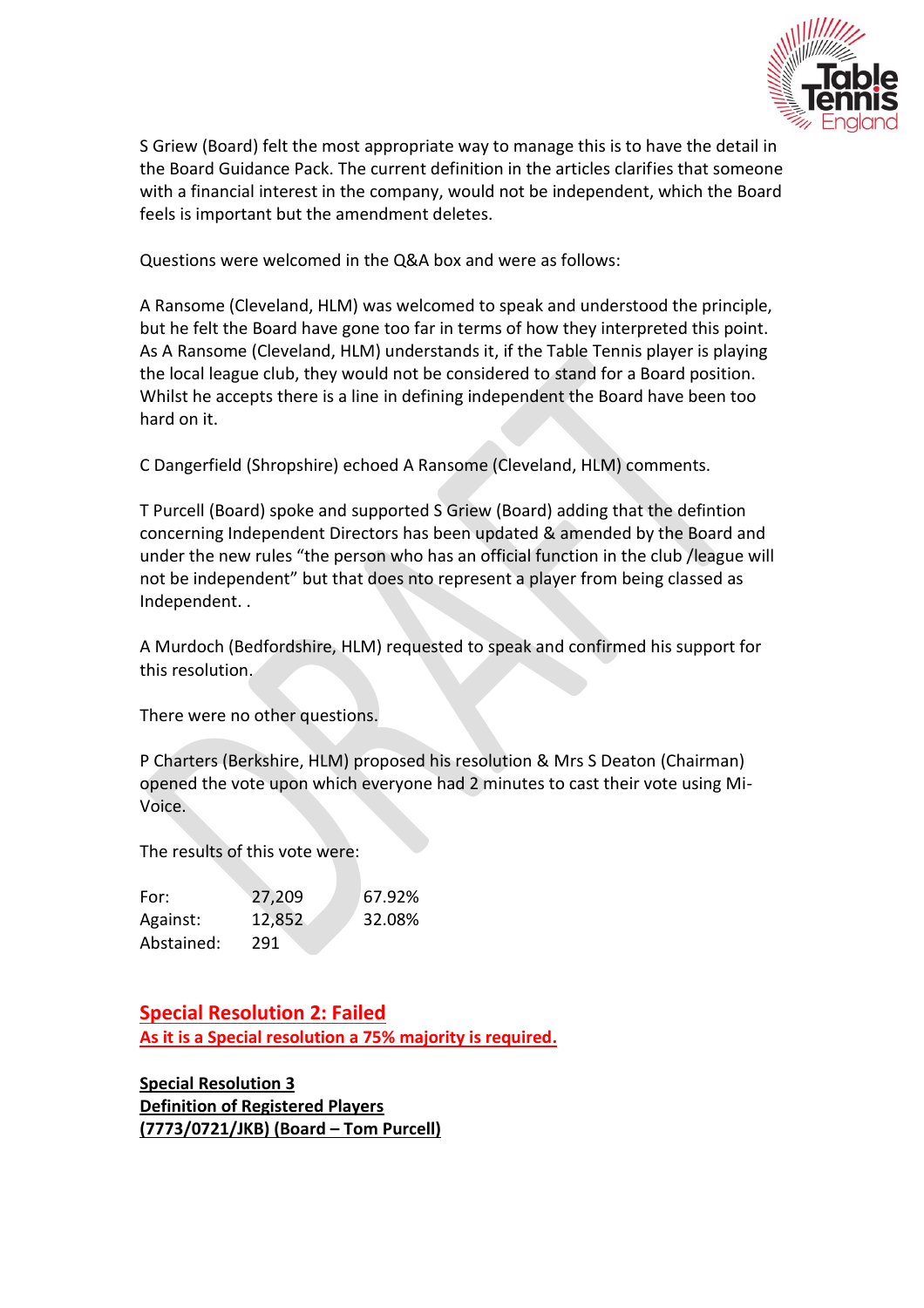

S Griew (Board) felt the most appropriate way to manage this is to have the detail in the Board Guidance Pack. The current definition in the articles clarifies that someone with a financial interest in the company, would not be independent, which the Board feels is important but the amendment deletes.

Questions were welcomed in the Q&A box and were as follows:

A Ransome (Cleveland, HLM) was welcomed to speak and understood the principle, but he felt the Board have gone too far in terms of how they interpreted this point. As A Ransome (Cleveland, HLM) understands it, if the Table Tennis player is playing the local league club, they would not be considered to stand for a Board position. Whilst he accepts there is a line in defining independent the Board have been too hard on it.

C Dangerfield (Shropshire) echoed A Ransome (Cleveland, HLM) comments.

T Purcell (Board) spoke and supported S Griew (Board) adding that the defintion concerning Independent Directors has been updated & amended by the Board and under the new rules "the person who has an official function in the club /league will not be independent" but that does nto represent a player from being classed as Independent. .

A Murdoch (Bedfordshire, HLM) requested to speak and confirmed his support for this resolution.

There were no other questions.

P Charters (Berkshire, HLM) proposed his resolution & Mrs S Deaton (Chairman) opened the vote upon which everyone had 2 minutes to cast their vote using Mi-Voice.

The results of this vote were:

| For:       | 27,209 | 67.92% |
|------------|--------|--------|
| Against:   | 12,852 | 32.08% |
| Abstained: | 291    |        |

**Special Resolution 2: Failed As it is a Special resolution a 75% majority is required.**

**Special Resolution 3 Definition of Registered Players (7773/0721/JKB) (Board – Tom Purcell)**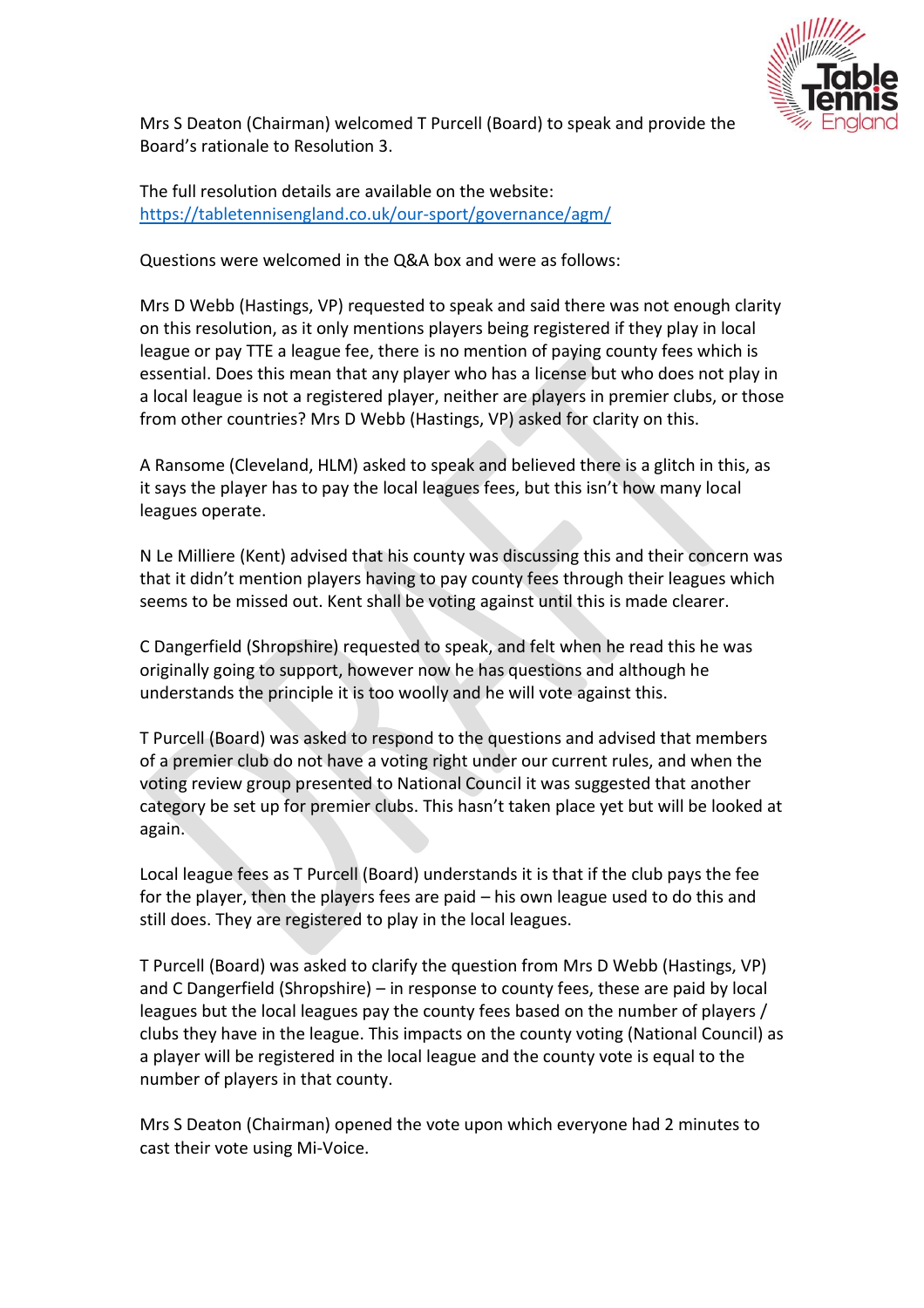

Mrs S Deaton (Chairman) welcomed T Purcell (Board) to speak and provide the Board's rationale to Resolution 3.

The full resolution details are available on the website: <https://tabletennisengland.co.uk/our-sport/governance/agm/>

Questions were welcomed in the Q&A box and were as follows:

Mrs D Webb (Hastings, VP) requested to speak and said there was not enough clarity on this resolution, as it only mentions players being registered if they play in local league or pay TTE a league fee, there is no mention of paying county fees which is essential. Does this mean that any player who has a license but who does not play in a local league is not a registered player, neither are players in premier clubs, or those from other countries? Mrs D Webb (Hastings, VP) asked for clarity on this.

A Ransome (Cleveland, HLM) asked to speak and believed there is a glitch in this, as it says the player has to pay the local leagues fees, but this isn't how many local leagues operate.

N Le Milliere (Kent) advised that his county was discussing this and their concern was that it didn't mention players having to pay county fees through their leagues which seems to be missed out. Kent shall be voting against until this is made clearer.

C Dangerfield (Shropshire) requested to speak, and felt when he read this he was originally going to support, however now he has questions and although he understands the principle it is too woolly and he will vote against this.

T Purcell (Board) was asked to respond to the questions and advised that members of a premier club do not have a voting right under our current rules, and when the voting review group presented to National Council it was suggested that another category be set up for premier clubs. This hasn't taken place yet but will be looked at again.

Local league fees as T Purcell (Board) understands it is that if the club pays the fee for the player, then the players fees are paid – his own league used to do this and still does. They are registered to play in the local leagues.

T Purcell (Board) was asked to clarify the question from Mrs D Webb (Hastings, VP) and C Dangerfield (Shropshire) – in response to county fees, these are paid by local leagues but the local leagues pay the county fees based on the number of players / clubs they have in the league. This impacts on the county voting (National Council) as a player will be registered in the local league and the county vote is equal to the number of players in that county.

Mrs S Deaton (Chairman) opened the vote upon which everyone had 2 minutes to cast their vote using Mi-Voice.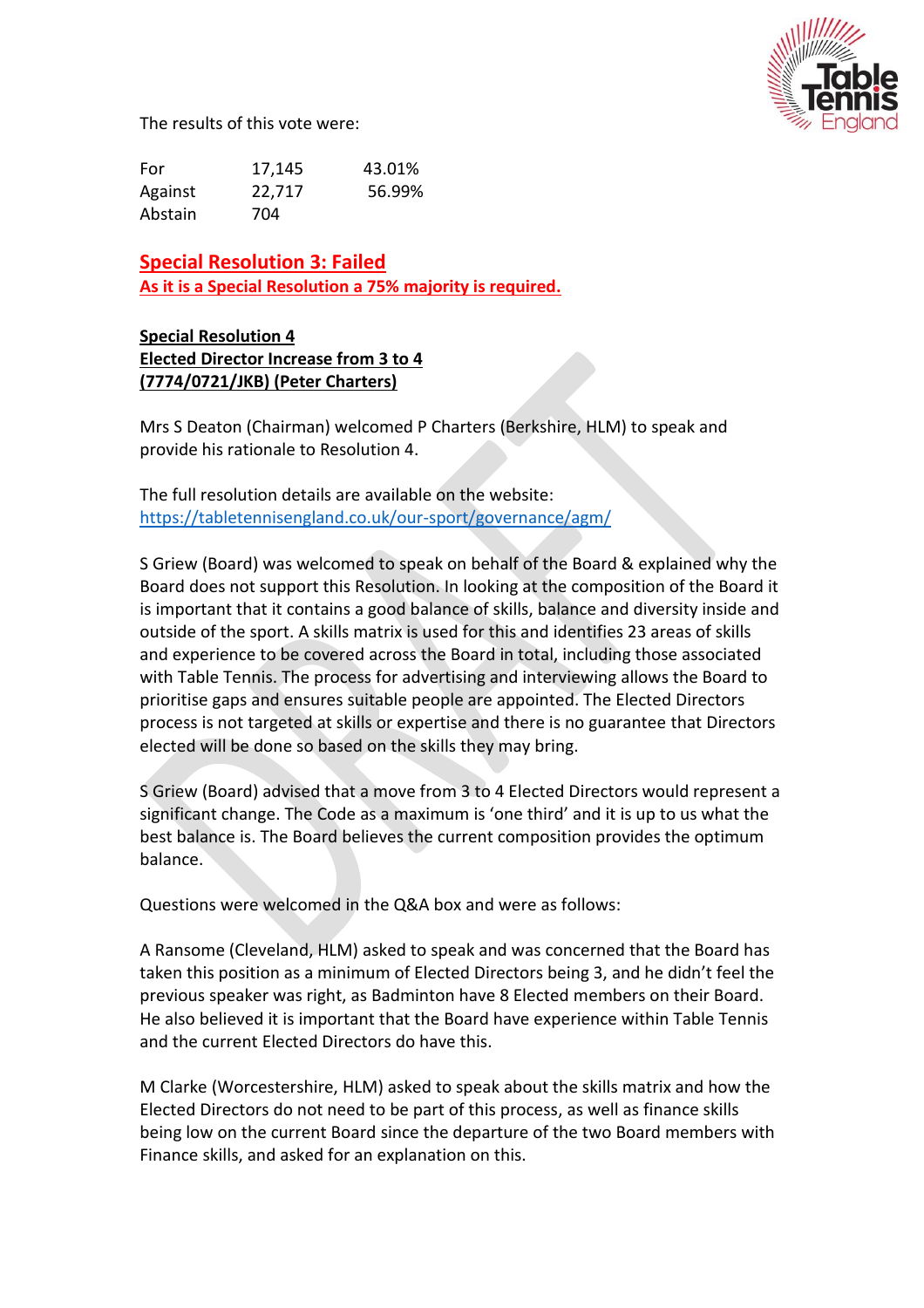

The results of this vote were:

For 17,145 43.01% Against 22,717 56.99% Abstain 704

**Special Resolution 3: Failed As it is a Special Resolution a 75% majority is required.**

**Special Resolution 4 Elected Director Increase from 3 to 4 (7774/0721/JKB) (Peter Charters)** 

Mrs S Deaton (Chairman) welcomed P Charters (Berkshire, HLM) to speak and provide his rationale to Resolution 4.

The full resolution details are available on the website: <https://tabletennisengland.co.uk/our-sport/governance/agm/>

S Griew (Board) was welcomed to speak on behalf of the Board & explained why the Board does not support this Resolution. In looking at the composition of the Board it is important that it contains a good balance of skills, balance and diversity inside and outside of the sport. A skills matrix is used for this and identifies 23 areas of skills and experience to be covered across the Board in total, including those associated with Table Tennis. The process for advertising and interviewing allows the Board to prioritise gaps and ensures suitable people are appointed. The Elected Directors process is not targeted at skills or expertise and there is no guarantee that Directors elected will be done so based on the skills they may bring.

S Griew (Board) advised that a move from 3 to 4 Elected Directors would represent a significant change. The Code as a maximum is 'one third' and it is up to us what the best balance is. The Board believes the current composition provides the optimum balance.

Questions were welcomed in the Q&A box and were as follows:

A Ransome (Cleveland, HLM) asked to speak and was concerned that the Board has taken this position as a minimum of Elected Directors being 3, and he didn't feel the previous speaker was right, as Badminton have 8 Elected members on their Board. He also believed it is important that the Board have experience within Table Tennis and the current Elected Directors do have this.

M Clarke (Worcestershire, HLM) asked to speak about the skills matrix and how the Elected Directors do not need to be part of this process, as well as finance skills being low on the current Board since the departure of the two Board members with Finance skills, and asked for an explanation on this.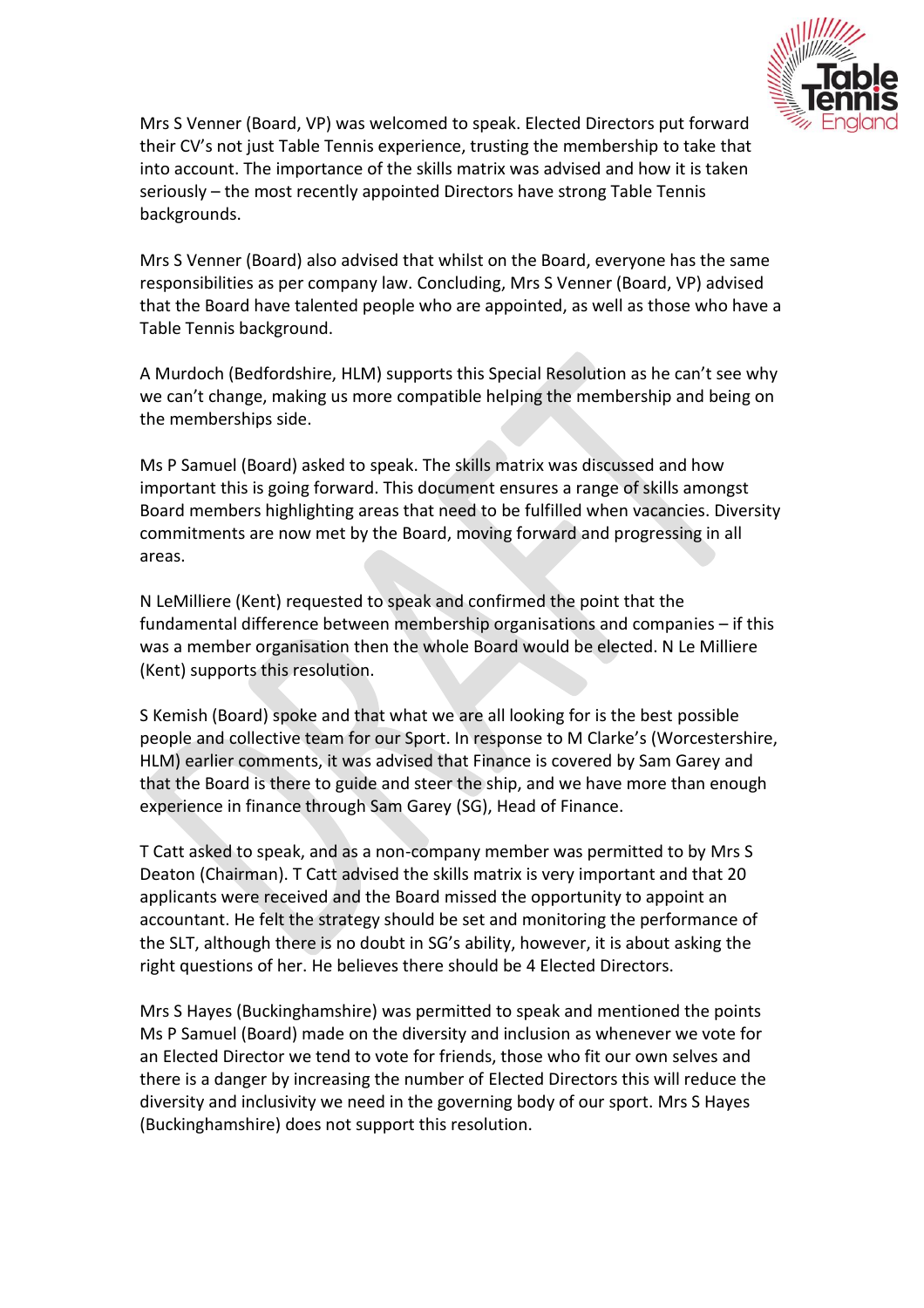

Mrs S Venner (Board, VP) was welcomed to speak. Elected Directors put forward their CV's not just Table Tennis experience, trusting the membership to take that into account. The importance of the skills matrix was advised and how it is taken seriously – the most recently appointed Directors have strong Table Tennis backgrounds.

Mrs S Venner (Board) also advised that whilst on the Board, everyone has the same responsibilities as per company law. Concluding, Mrs S Venner (Board, VP) advised that the Board have talented people who are appointed, as well as those who have a Table Tennis background.

A Murdoch (Bedfordshire, HLM) supports this Special Resolution as he can't see why we can't change, making us more compatible helping the membership and being on the memberships side.

Ms P Samuel (Board) asked to speak. The skills matrix was discussed and how important this is going forward. This document ensures a range of skills amongst Board members highlighting areas that need to be fulfilled when vacancies. Diversity commitments are now met by the Board, moving forward and progressing in all areas.

N LeMilliere (Kent) requested to speak and confirmed the point that the fundamental difference between membership organisations and companies – if this was a member organisation then the whole Board would be elected. N Le Milliere (Kent) supports this resolution.

S Kemish (Board) spoke and that what we are all looking for is the best possible people and collective team for our Sport. In response to M Clarke's (Worcestershire, HLM) earlier comments, it was advised that Finance is covered by Sam Garey and that the Board is there to guide and steer the ship, and we have more than enough experience in finance through Sam Garey (SG), Head of Finance.

T Catt asked to speak, and as a non-company member was permitted to by Mrs S Deaton (Chairman). T Catt advised the skills matrix is very important and that 20 applicants were received and the Board missed the opportunity to appoint an accountant. He felt the strategy should be set and monitoring the performance of the SLT, although there is no doubt in SG's ability, however, it is about asking the right questions of her. He believes there should be 4 Elected Directors.

Mrs S Hayes (Buckinghamshire) was permitted to speak and mentioned the points Ms P Samuel (Board) made on the diversity and inclusion as whenever we vote for an Elected Director we tend to vote for friends, those who fit our own selves and there is a danger by increasing the number of Elected Directors this will reduce the diversity and inclusivity we need in the governing body of our sport. Mrs S Hayes (Buckinghamshire) does not support this resolution.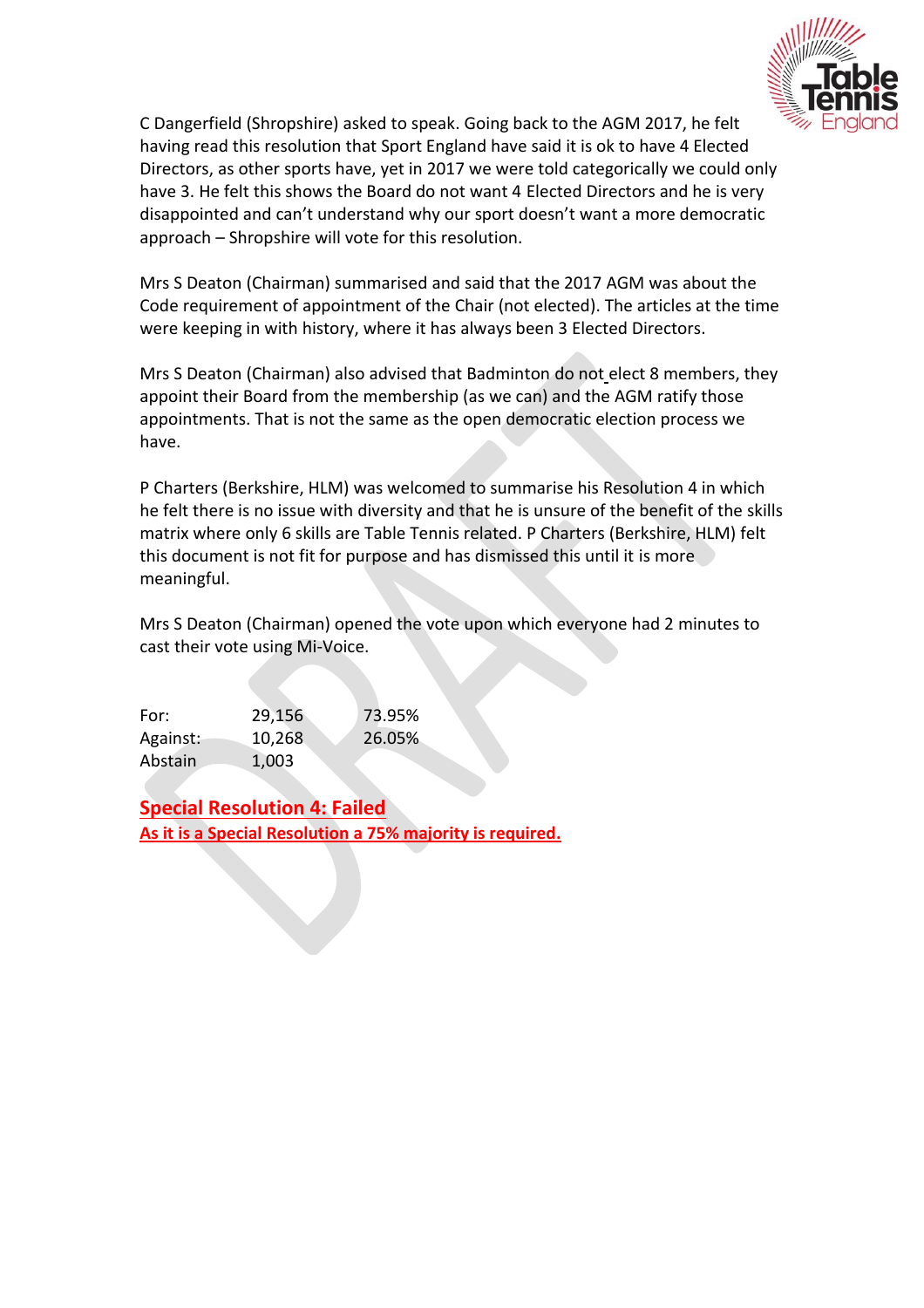

C Dangerfield (Shropshire) asked to speak. Going back to the AGM 2017, he felt having read this resolution that Sport England have said it is ok to have 4 Elected Directors, as other sports have, yet in 2017 we were told categorically we could only have 3. He felt this shows the Board do not want 4 Elected Directors and he is very disappointed and can't understand why our sport doesn't want a more democratic approach – Shropshire will vote for this resolution.

Mrs S Deaton (Chairman) summarised and said that the 2017 AGM was about the Code requirement of appointment of the Chair (not elected). The articles at the time were keeping in with history, where it has always been 3 Elected Directors.

Mrs S Deaton (Chairman) also advised that Badminton do not elect 8 members, they appoint their Board from the membership (as we can) and the AGM ratify those appointments. That is not the same as the open democratic election process we have.

P Charters (Berkshire, HLM) was welcomed to summarise his Resolution 4 in which he felt there is no issue with diversity and that he is unsure of the benefit of the skills matrix where only 6 skills are Table Tennis related. P Charters (Berkshire, HLM) felt this document is not fit for purpose and has dismissed this until it is more meaningful.

Mrs S Deaton (Chairman) opened the vote upon which everyone had 2 minutes to cast their vote using Mi-Voice.

| For:     | 29,156 | 73.95% |
|----------|--------|--------|
| Against: | 10,268 | 26.05% |
| Abstain  | 1,003  |        |

**Special Resolution 4: Failed As it is a Special Resolution a 75% majority is required.**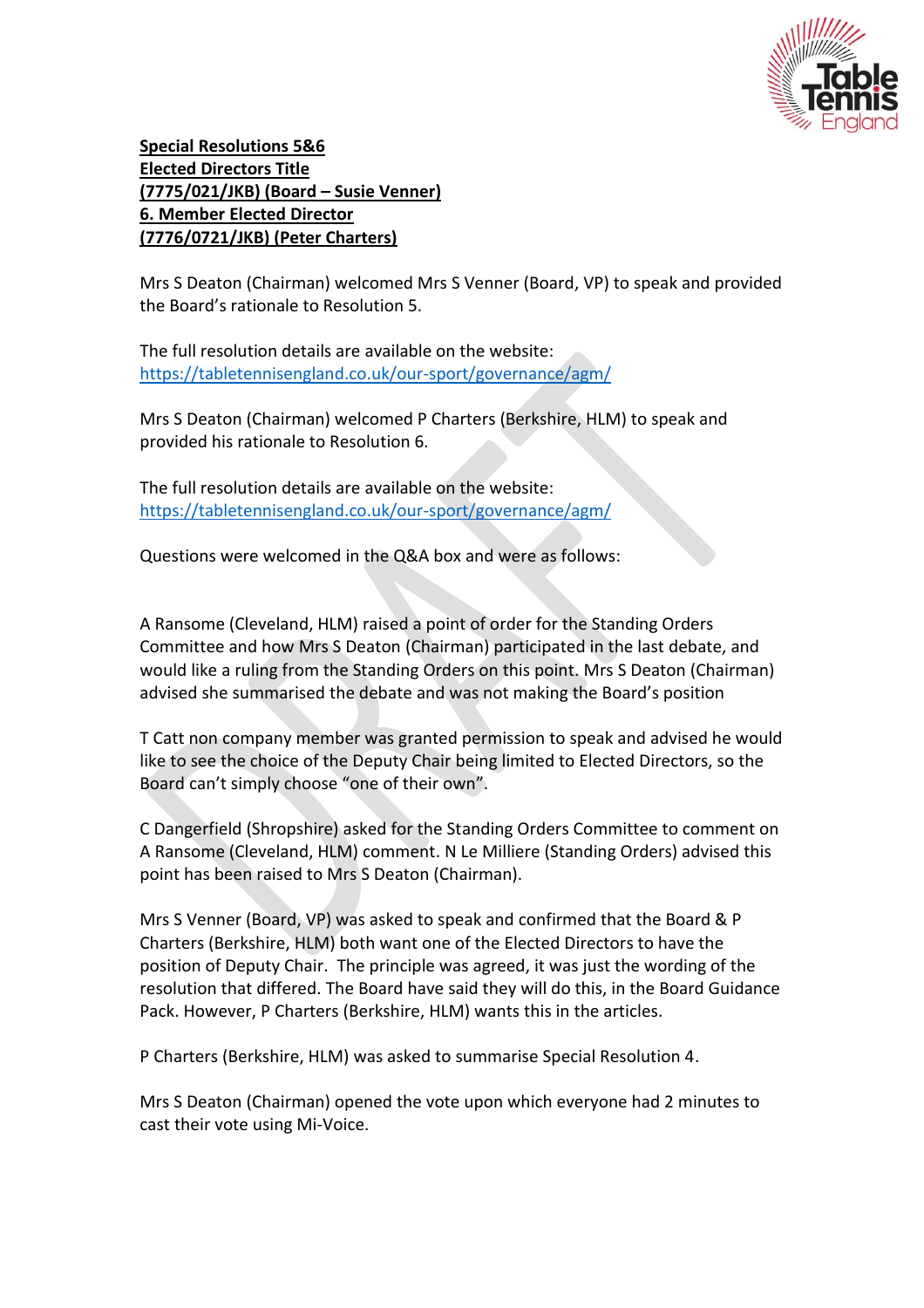

**Special Resolutions 5&6 Elected Directors Title (7775/021/JKB) (Board – Susie Venner) 6. Member Elected Director (7776/0721/JKB) (Peter Charters)** 

Mrs S Deaton (Chairman) welcomed Mrs S Venner (Board, VP) to speak and provided the Board's rationale to Resolution 5.

The full resolution details are available on the website: <https://tabletennisengland.co.uk/our-sport/governance/agm/>

Mrs S Deaton (Chairman) welcomed P Charters (Berkshire, HLM) to speak and provided his rationale to Resolution 6.

The full resolution details are available on the website: <https://tabletennisengland.co.uk/our-sport/governance/agm/>

Questions were welcomed in the Q&A box and were as follows:

A Ransome (Cleveland, HLM) raised a point of order for the Standing Orders Committee and how Mrs S Deaton (Chairman) participated in the last debate, and would like a ruling from the Standing Orders on this point. Mrs S Deaton (Chairman) advised she summarised the debate and was not making the Board's position

T Catt non company member was granted permission to speak and advised he would like to see the choice of the Deputy Chair being limited to Elected Directors, so the Board can't simply choose "one of their own".

C Dangerfield (Shropshire) asked for the Standing Orders Committee to comment on A Ransome (Cleveland, HLM) comment. N Le Milliere (Standing Orders) advised this point has been raised to Mrs S Deaton (Chairman).

Mrs S Venner (Board, VP) was asked to speak and confirmed that the Board & P Charters (Berkshire, HLM) both want one of the Elected Directors to have the position of Deputy Chair. The principle was agreed, it was just the wording of the resolution that differed. The Board have said they will do this, in the Board Guidance Pack. However, P Charters (Berkshire, HLM) wants this in the articles.

P Charters (Berkshire, HLM) was asked to summarise Special Resolution 4.

Mrs S Deaton (Chairman) opened the vote upon which everyone had 2 minutes to cast their vote using Mi-Voice.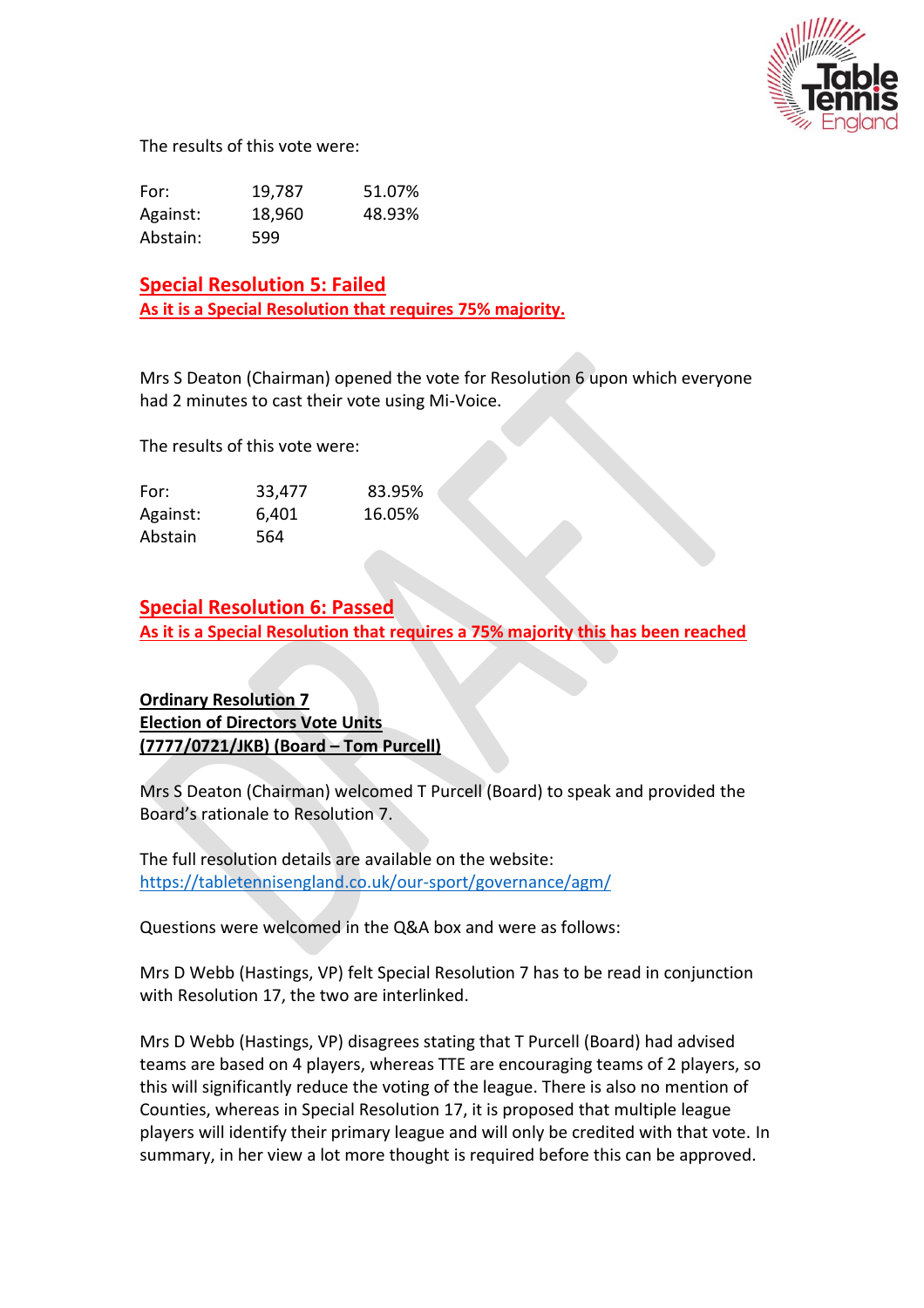

The results of this vote were:

| For:     | 19,787 | 51.07% |
|----------|--------|--------|
| Against: | 18,960 | 48.93% |
| Abstain: | 599    |        |

**Special Resolution 5: Failed As it is a Special Resolution that requires 75% majority.**

Mrs S Deaton (Chairman) opened the vote for Resolution 6 upon which everyone had 2 minutes to cast their vote using Mi-Voice.

The results of this vote were:

| For:     | 33,477 | 83.95% |
|----------|--------|--------|
| Against: | 6,401  | 16.05% |
| Abstain  | 564    |        |

#### **Special Resolution 6: Passed**

**As it is a Special Resolution that requires a 75% majority this has been reached**

#### **Ordinary Resolution 7 Election of Directors Vote Units (7777/0721/JKB) (Board – Tom Purcell)**

Mrs S Deaton (Chairman) welcomed T Purcell (Board) to speak and provided the Board's rationale to Resolution 7.

The full resolution details are available on the website: <https://tabletennisengland.co.uk/our-sport/governance/agm/>

Questions were welcomed in the Q&A box and were as follows:

Mrs D Webb (Hastings, VP) felt Special Resolution 7 has to be read in conjunction with Resolution 17, the two are interlinked.

Mrs D Webb (Hastings, VP) disagrees stating that T Purcell (Board) had advised teams are based on 4 players, whereas TTE are encouraging teams of 2 players, so this will significantly reduce the voting of the league. There is also no mention of Counties, whereas in Special Resolution 17, it is proposed that multiple league players will identify their primary league and will only be credited with that vote. In summary, in her view a lot more thought is required before this can be approved.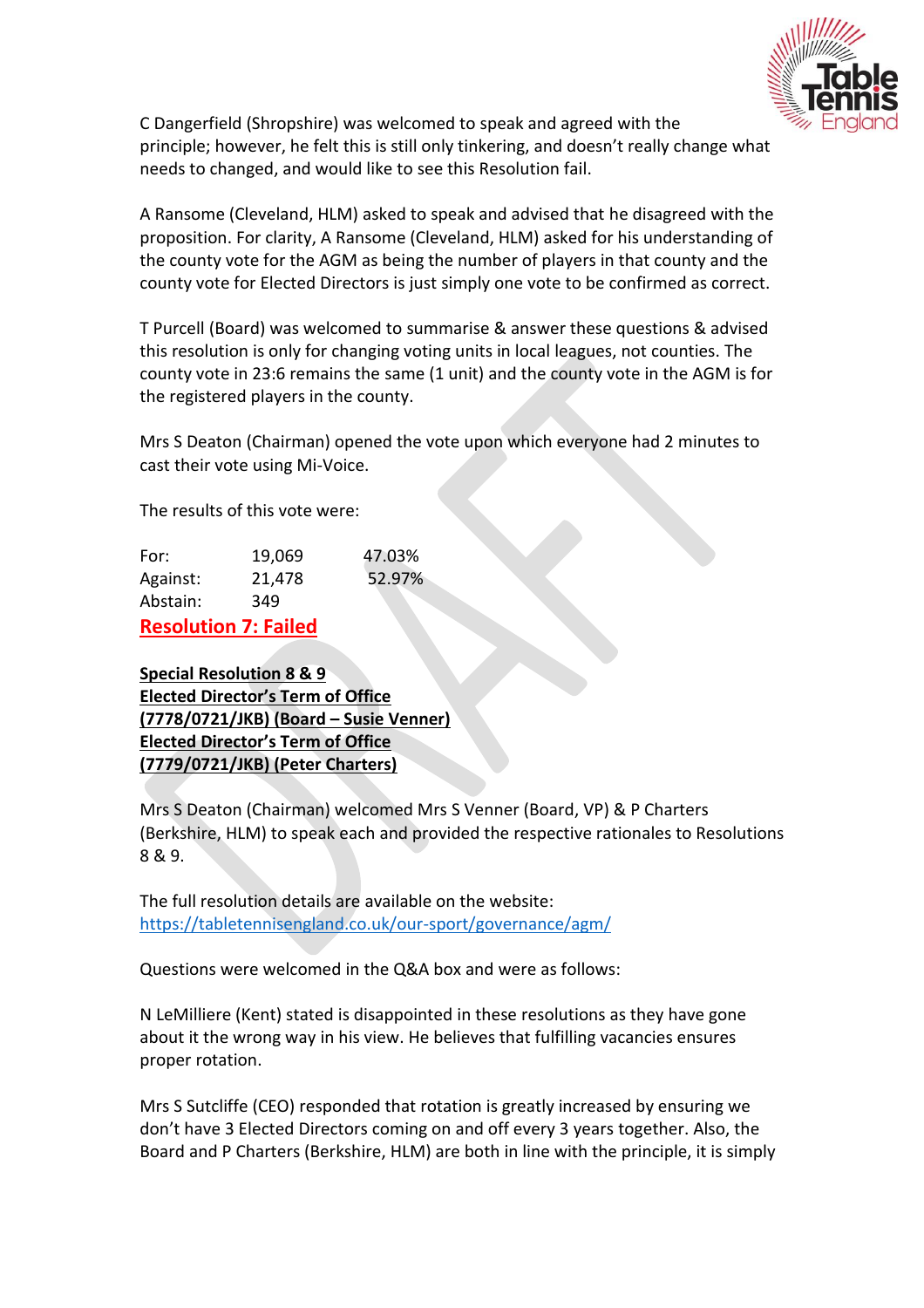

C Dangerfield (Shropshire) was welcomed to speak and agreed with the principle; however, he felt this is still only tinkering, and doesn't really change what needs to changed, and would like to see this Resolution fail.

A Ransome (Cleveland, HLM) asked to speak and advised that he disagreed with the proposition. For clarity, A Ransome (Cleveland, HLM) asked for his understanding of the county vote for the AGM as being the number of players in that county and the county vote for Elected Directors is just simply one vote to be confirmed as correct.

T Purcell (Board) was welcomed to summarise & answer these questions & advised this resolution is only for changing voting units in local leagues, not counties. The county vote in 23:6 remains the same (1 unit) and the county vote in the AGM is for the registered players in the county.

Mrs S Deaton (Chairman) opened the vote upon which everyone had 2 minutes to cast their vote using Mi-Voice.

The results of this vote were:

|          | Deselution 7: Failed |        |
|----------|----------------------|--------|
| Abstain: | 349                  |        |
| Against: | 21,478               | 52.97% |
| For:     | 19,069               | 47.03% |

**Resolution 7: Failed**

**Special Resolution 8 & 9 Elected Director's Term of Office (7778/0721/JKB) (Board – Susie Venner) Elected Director's Term of Office (7779/0721/JKB) (Peter Charters)**

Mrs S Deaton (Chairman) welcomed Mrs S Venner (Board, VP) & P Charters (Berkshire, HLM) to speak each and provided the respective rationales to Resolutions 8 & 9.

The full resolution details are available on the website: <https://tabletennisengland.co.uk/our-sport/governance/agm/>

Questions were welcomed in the Q&A box and were as follows:

N LeMilliere (Kent) stated is disappointed in these resolutions as they have gone about it the wrong way in his view. He believes that fulfilling vacancies ensures proper rotation.

Mrs S Sutcliffe (CEO) responded that rotation is greatly increased by ensuring we don't have 3 Elected Directors coming on and off every 3 years together. Also, the Board and P Charters (Berkshire, HLM) are both in line with the principle, it is simply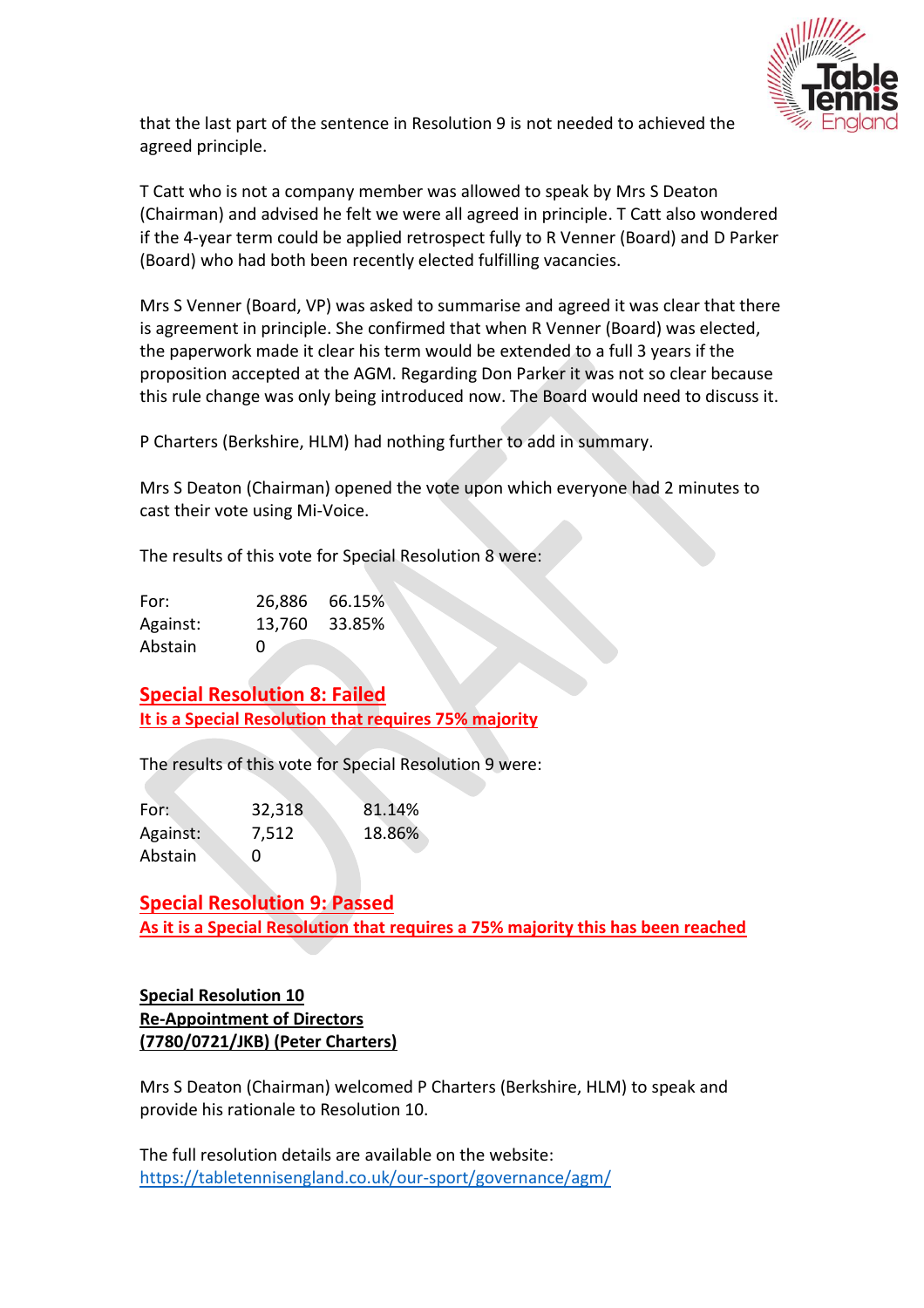

that the last part of the sentence in Resolution 9 is not needed to achieved the agreed principle.

T Catt who is not a company member was allowed to speak by Mrs S Deaton (Chairman) and advised he felt we were all agreed in principle. T Catt also wondered if the 4-year term could be applied retrospect fully to R Venner (Board) and D Parker (Board) who had both been recently elected fulfilling vacancies.

Mrs S Venner (Board, VP) was asked to summarise and agreed it was clear that there is agreement in principle. She confirmed that when R Venner (Board) was elected, the paperwork made it clear his term would be extended to a full 3 years if the proposition accepted at the AGM. Regarding Don Parker it was not so clear because this rule change was only being introduced now. The Board would need to discuss it.

P Charters (Berkshire, HLM) had nothing further to add in summary.

Mrs S Deaton (Chairman) opened the vote upon which everyone had 2 minutes to cast their vote using Mi-Voice.

The results of this vote for Special Resolution 8 were:

| For:     |              | 26,886 66.15% |
|----------|--------------|---------------|
| Against: | 13,760       | - 33.85%      |
| Abstain  | $\mathbf{0}$ |               |

**Special Resolution 8: Failed It is a Special Resolution that requires 75% majority**

The results of this vote for Special Resolution 9 were:

| For:     | 32,318 | 81.14% |
|----------|--------|--------|
| Against: | 7,512  | 18.86% |
| Abstain  | 0      |        |

**Special Resolution 9: Passed As it is a Special Resolution that requires a 75% majority this has been reached**

## **Special Resolution 10 Re-Appointment of Directors (7780/0721/JKB) (Peter Charters)**

Mrs S Deaton (Chairman) welcomed P Charters (Berkshire, HLM) to speak and provide his rationale to Resolution 10.

The full resolution details are available on the website: <https://tabletennisengland.co.uk/our-sport/governance/agm/>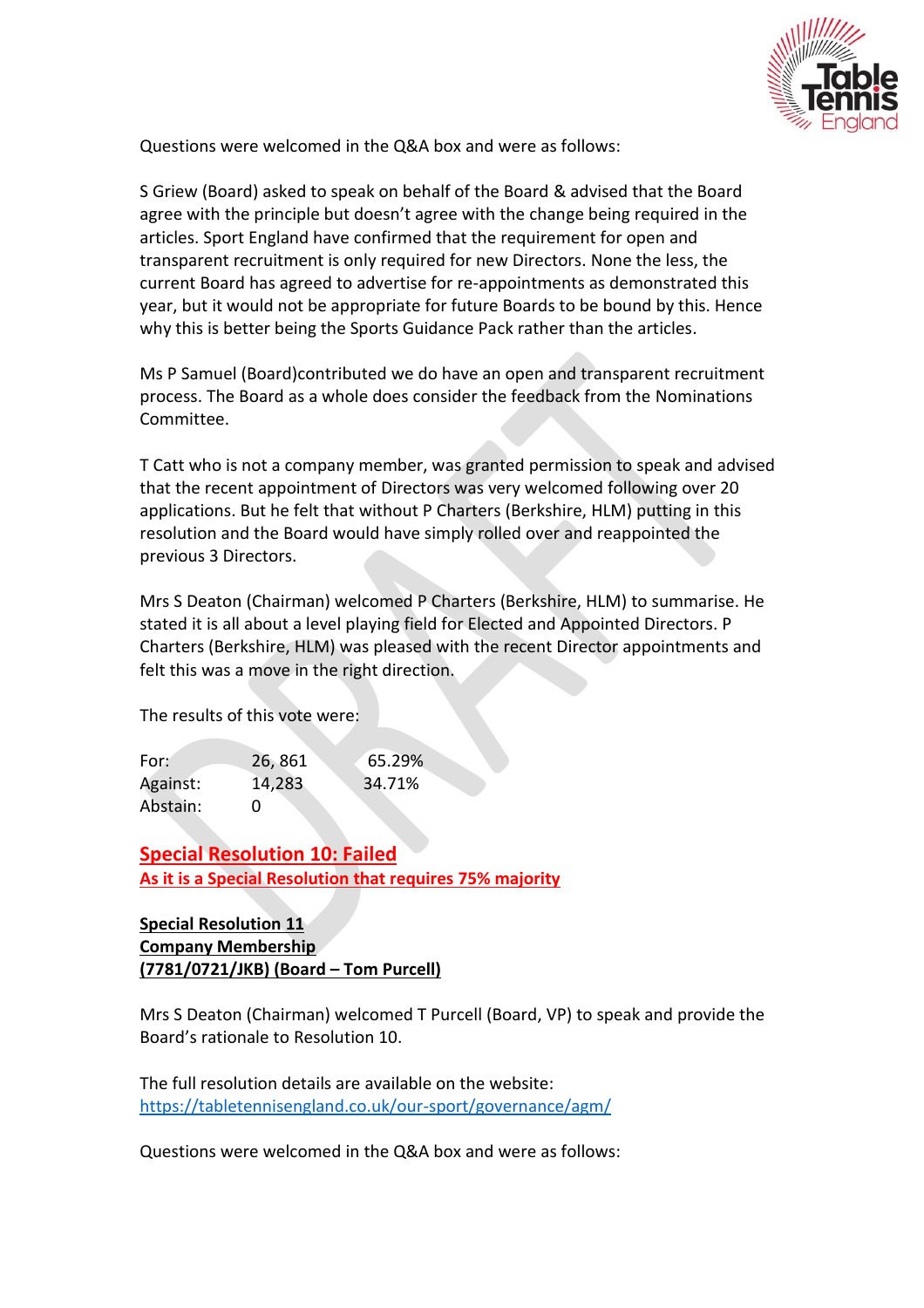

Questions were welcomed in the Q&A box and were as follows:

S Griew (Board) asked to speak on behalf of the Board & advised that the Board agree with the principle but doesn't agree with the change being required in the articles. Sport England have confirmed that the requirement for open and transparent recruitment is only required for new Directors. None the less, the current Board has agreed to advertise for re-appointments as demonstrated this year, but it would not be appropriate for future Boards to be bound by this. Hence why this is better being the Sports Guidance Pack rather than the articles.

Ms P Samuel (Board)contributed we do have an open and transparent recruitment process. The Board as a whole does consider the feedback from the Nominations Committee.

T Catt who is not a company member, was granted permission to speak and advised that the recent appointment of Directors was very welcomed following over 20 applications. But he felt that without P Charters (Berkshire, HLM) putting in this resolution and the Board would have simply rolled over and reappointed the previous 3 Directors.

Mrs S Deaton (Chairman) welcomed P Charters (Berkshire, HLM) to summarise. He stated it is all about a level playing field for Elected and Appointed Directors. P Charters (Berkshire, HLM) was pleased with the recent Director appointments and felt this was a move in the right direction.

The results of this vote were:

| For:     | 26,861 | 65.29% |
|----------|--------|--------|
| Against: | 14,283 | 34.71% |
| Abstain: | 0      |        |

**Special Resolution 10: Failed As it is a Special Resolution that requires 75% majority**

#### **Special Resolution 11 Company Membership (7781/0721/JKB) (Board – Tom Purcell)**

Mrs S Deaton (Chairman) welcomed T Purcell (Board, VP) to speak and provide the Board's rationale to Resolution 10.

The full resolution details are available on the website: <https://tabletennisengland.co.uk/our-sport/governance/agm/>

Questions were welcomed in the Q&A box and were as follows: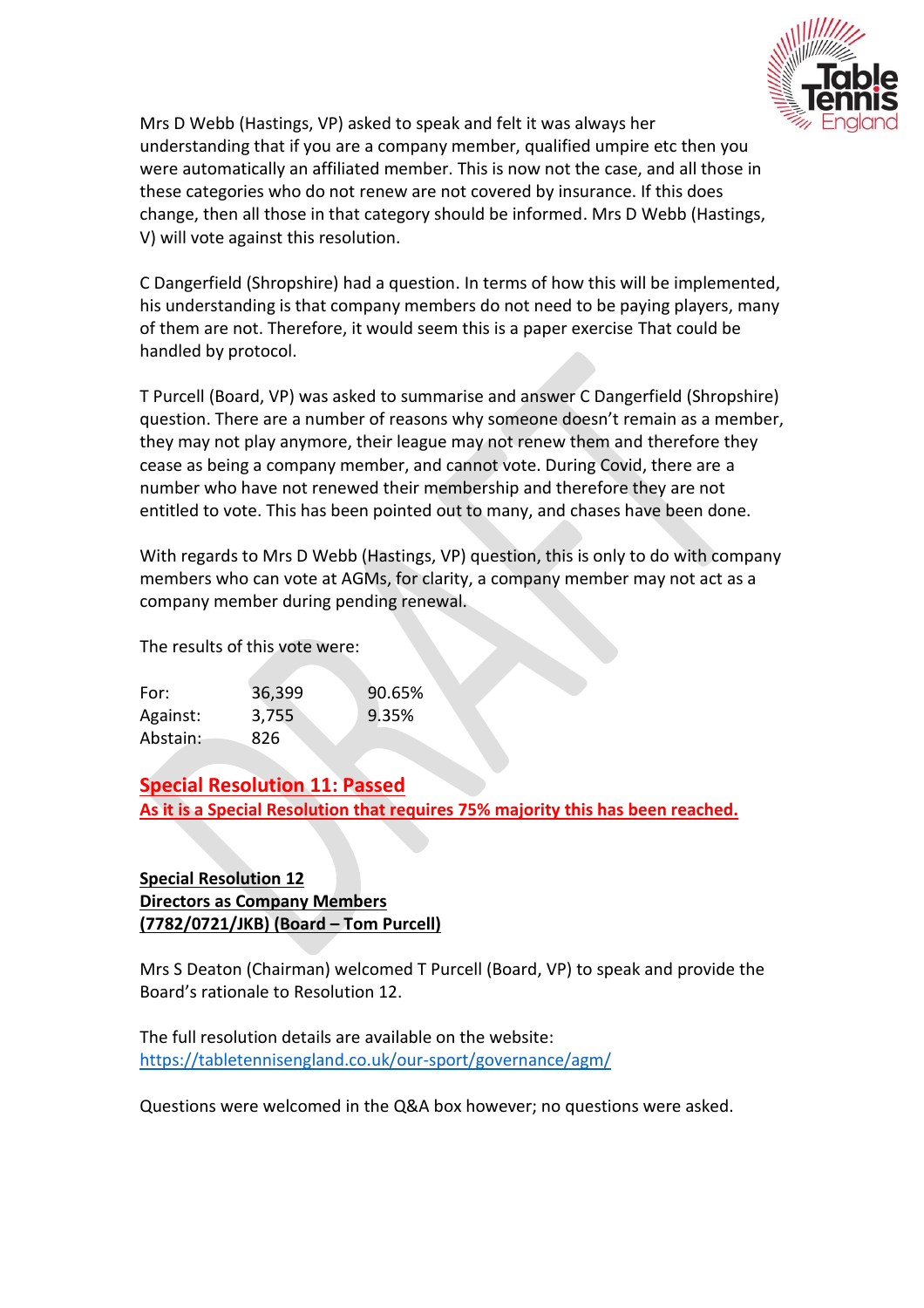

Mrs D Webb (Hastings, VP) asked to speak and felt it was always her understanding that if you are a company member, qualified umpire etc then you were automatically an affiliated member. This is now not the case, and all those in these categories who do not renew are not covered by insurance. If this does change, then all those in that category should be informed. Mrs D Webb (Hastings, V) will vote against this resolution.

C Dangerfield (Shropshire) had a question. In terms of how this will be implemented, his understanding is that company members do not need to be paying players, many of them are not. Therefore, it would seem this is a paper exercise That could be handled by protocol.

T Purcell (Board, VP) was asked to summarise and answer C Dangerfield (Shropshire) question. There are a number of reasons why someone doesn't remain as a member, they may not play anymore, their league may not renew them and therefore they cease as being a company member, and cannot vote. During Covid, there are a number who have not renewed their membership and therefore they are not entitled to vote. This has been pointed out to many, and chases have been done.

With regards to Mrs D Webb (Hastings, VP) question, this is only to do with company members who can vote at AGMs, for clarity, a company member may not act as a company member during pending renewal.

The results of this vote were:

| For:     | 36,399 | 90.65% |
|----------|--------|--------|
| Against: | 3,755  | 9.35%  |
| Abstain: | 826    |        |

**Special Resolution 11: Passed As it is a Special Resolution that requires 75% majority this has been reached.**

## **Special Resolution 12 Directors as Company Members (7782/0721/JKB) (Board – Tom Purcell)**

Mrs S Deaton (Chairman) welcomed T Purcell (Board, VP) to speak and provide the Board's rationale to Resolution 12.

The full resolution details are available on the website: <https://tabletennisengland.co.uk/our-sport/governance/agm/>

Questions were welcomed in the Q&A box however; no questions were asked.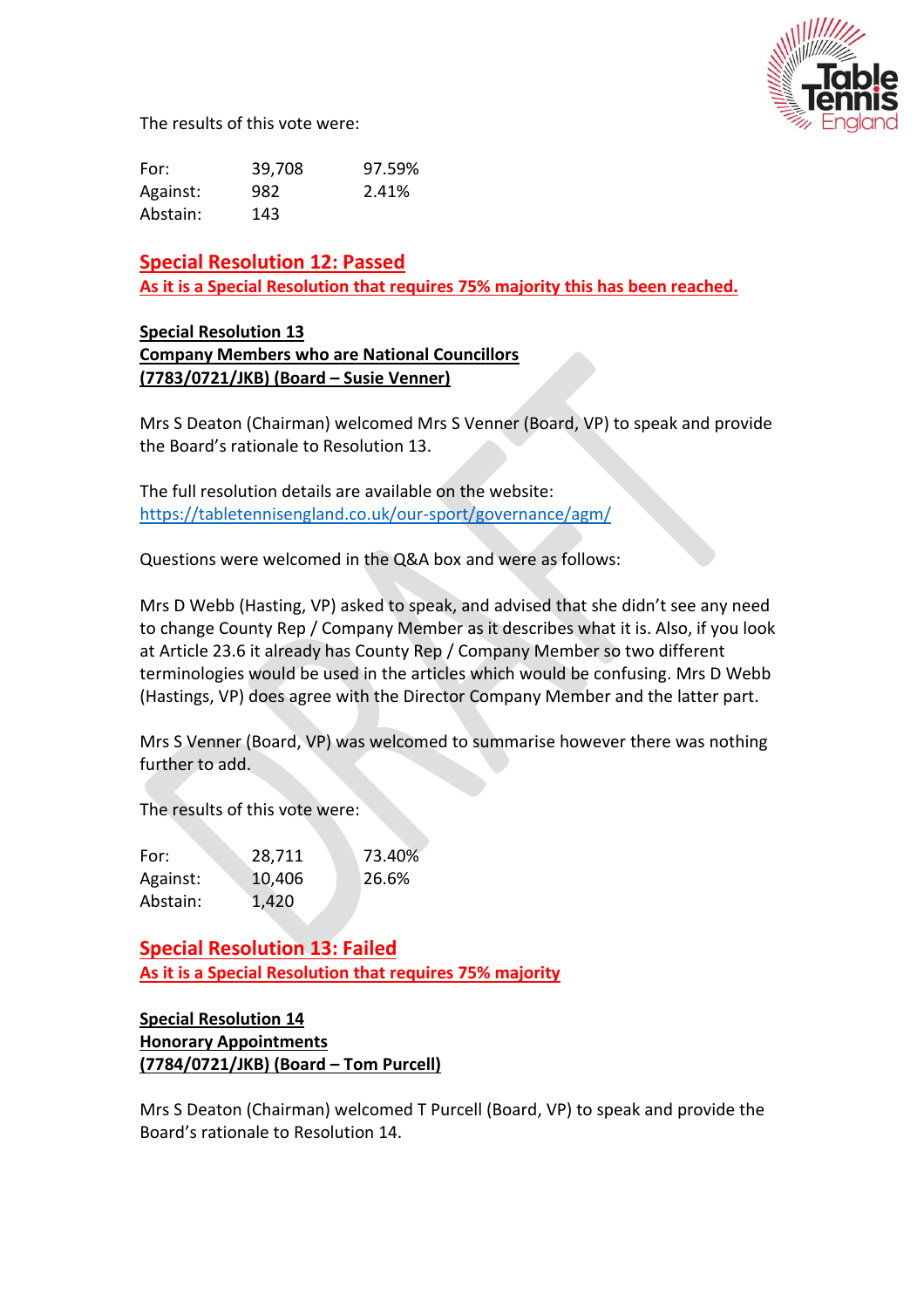

The results of this vote were:

| For:     | 39,708 | 97.59% |
|----------|--------|--------|
| Against: | 982    | 2.41%  |
| Abstain: | 143    |        |

**Special Resolution 12: Passed As it is a Special Resolution that requires 75% majority this has been reached.**

#### **Special Resolution 13 Company Members who are National Councillors (7783/0721/JKB) (Board – Susie Venner)**

Mrs S Deaton (Chairman) welcomed Mrs S Venner (Board, VP) to speak and provide the Board's rationale to Resolution 13.

The full resolution details are available on the website: <https://tabletennisengland.co.uk/our-sport/governance/agm/>

Questions were welcomed in the Q&A box and were as follows:

Mrs D Webb (Hasting, VP) asked to speak, and advised that she didn't see any need to change County Rep / Company Member as it describes what it is. Also, if you look at Article 23.6 it already has County Rep / Company Member so two different terminologies would be used in the articles which would be confusing. Mrs D Webb (Hastings, VP) does agree with the Director Company Member and the latter part.

Mrs S Venner (Board, VP) was welcomed to summarise however there was nothing further to add.

The results of this vote were:

| For:     | 28,711 | 73.40% |
|----------|--------|--------|
| Against: | 10,406 | 26.6%  |
| Abstain: | 1,420  |        |

**Special Resolution 13: Failed As it is a Special Resolution that requires 75% majority**

## **Special Resolution 14 Honorary Appointments (7784/0721/JKB) (Board – Tom Purcell)**

Mrs S Deaton (Chairman) welcomed T Purcell (Board, VP) to speak and provide the Board's rationale to Resolution 14.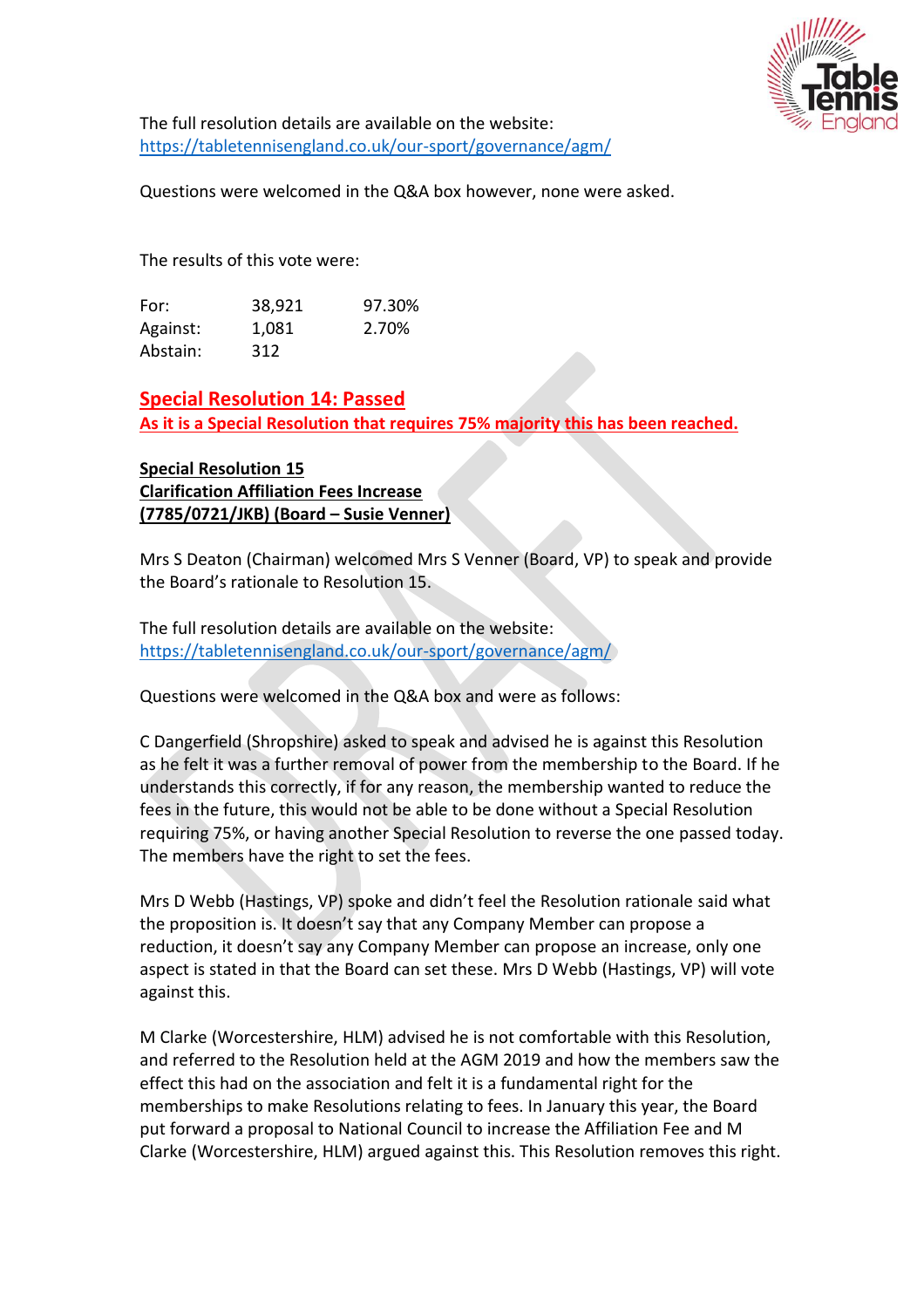

The full resolution details are available on the website: <https://tabletennisengland.co.uk/our-sport/governance/agm/>

Questions were welcomed in the Q&A box however, none were asked.

The results of this vote were:

| For:     | 38,921 | 97.30% |
|----------|--------|--------|
| Against: | 1.081  | 2.70%  |
| Abstain: | 312    |        |

**Special Resolution 14: Passed As it is a Special Resolution that requires 75% majority this has been reached.**

## **Special Resolution 15 Clarification Affiliation Fees Increase (7785/0721/JKB) (Board – Susie Venner)**

Mrs S Deaton (Chairman) welcomed Mrs S Venner (Board, VP) to speak and provide the Board's rationale to Resolution 15.

The full resolution details are available on the website: <https://tabletennisengland.co.uk/our-sport/governance/agm/>

Questions were welcomed in the Q&A box and were as follows:

C Dangerfield (Shropshire) asked to speak and advised he is against this Resolution as he felt it was a further removal of power from the membership to the Board. If he understands this correctly, if for any reason, the membership wanted to reduce the fees in the future, this would not be able to be done without a Special Resolution requiring 75%, or having another Special Resolution to reverse the one passed today. The members have the right to set the fees.

Mrs D Webb (Hastings, VP) spoke and didn't feel the Resolution rationale said what the proposition is. It doesn't say that any Company Member can propose a reduction, it doesn't say any Company Member can propose an increase, only one aspect is stated in that the Board can set these. Mrs D Webb (Hastings, VP) will vote against this.

M Clarke (Worcestershire, HLM) advised he is not comfortable with this Resolution, and referred to the Resolution held at the AGM 2019 and how the members saw the effect this had on the association and felt it is a fundamental right for the memberships to make Resolutions relating to fees. In January this year, the Board put forward a proposal to National Council to increase the Affiliation Fee and M Clarke (Worcestershire, HLM) argued against this. This Resolution removes this right.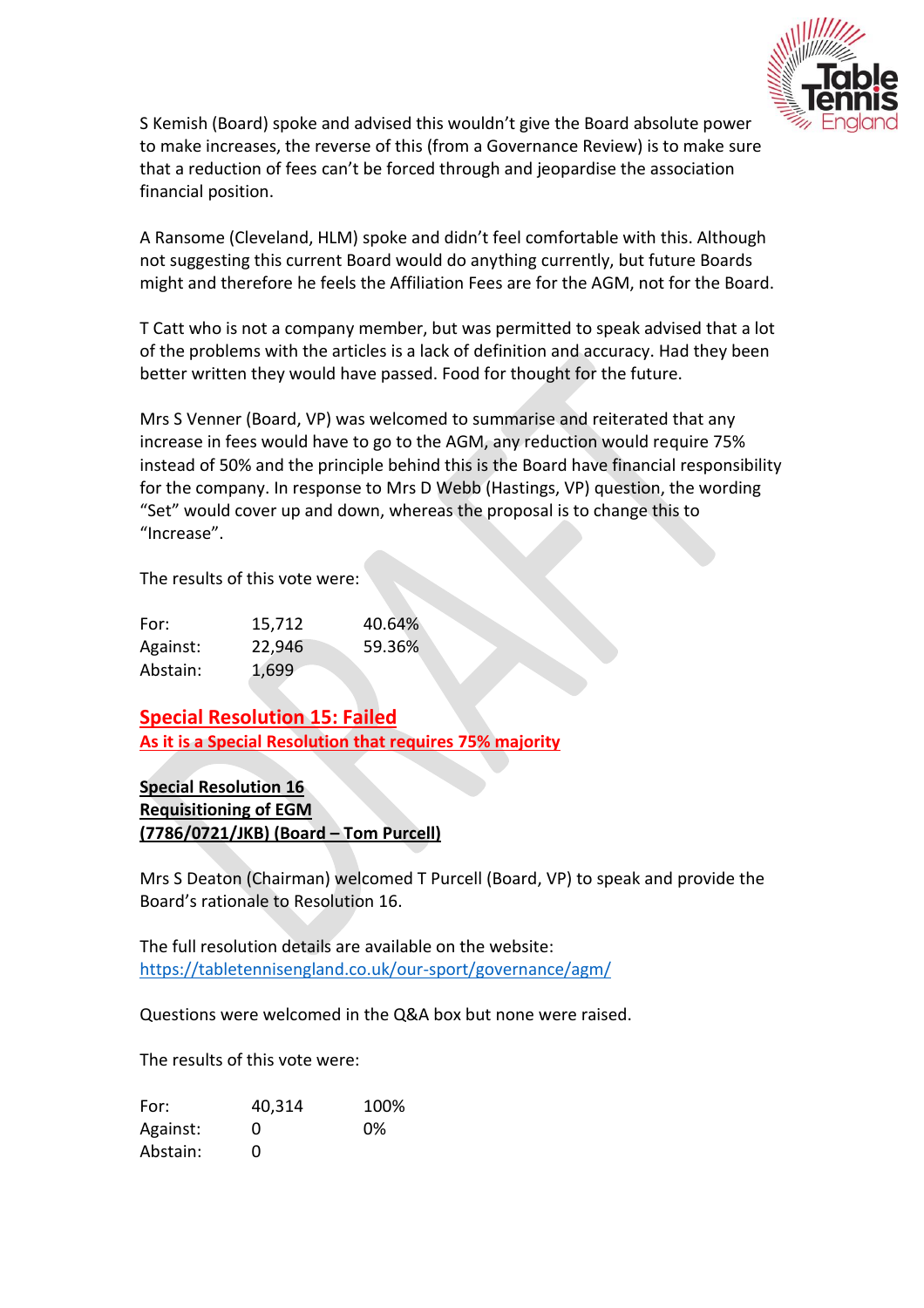

S Kemish (Board) spoke and advised this wouldn't give the Board absolute power to make increases, the reverse of this (from a Governance Review) is to make sure that a reduction of fees can't be forced through and jeopardise the association financial position.

A Ransome (Cleveland, HLM) spoke and didn't feel comfortable with this. Although not suggesting this current Board would do anything currently, but future Boards might and therefore he feels the Affiliation Fees are for the AGM, not for the Board.

T Catt who is not a company member, but was permitted to speak advised that a lot of the problems with the articles is a lack of definition and accuracy. Had they been better written they would have passed. Food for thought for the future.

Mrs S Venner (Board, VP) was welcomed to summarise and reiterated that any increase in fees would have to go to the AGM, any reduction would require 75% instead of 50% and the principle behind this is the Board have financial responsibility for the company. In response to Mrs D Webb (Hastings, VP) question, the wording "Set" would cover up and down, whereas the proposal is to change this to "Increase".

The results of this vote were:

| For:     | 15,712 | 40.64% |
|----------|--------|--------|
| Against: | 22,946 | 59.36% |
| Abstain: | 1,699  |        |

**Special Resolution 15: Failed As it is a Special Resolution that requires 75% majority**

**Special Resolution 16 Requisitioning of EGM (7786/0721/JKB) (Board – Tom Purcell)** 

Mrs S Deaton (Chairman) welcomed T Purcell (Board, VP) to speak and provide the Board's rationale to Resolution 16.

The full resolution details are available on the website: <https://tabletennisengland.co.uk/our-sport/governance/agm/>

Questions were welcomed in the Q&A box but none were raised.

The results of this vote were:

| For:     | 40,314       | 100% |
|----------|--------------|------|
| Against: | $\mathbf{0}$ | 0%   |
| Abstain: | O            |      |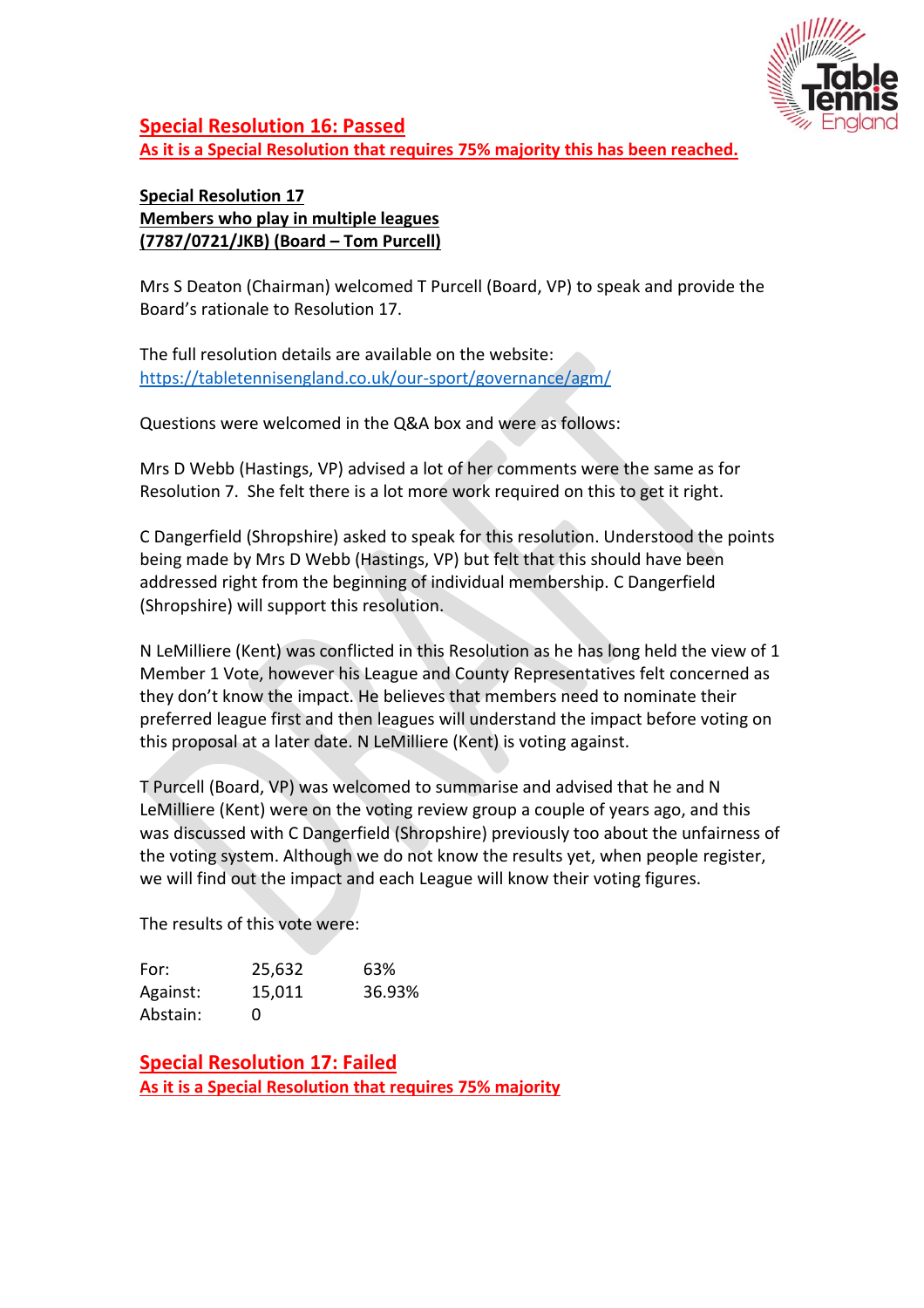

**Special Resolution 16: Passed As it is a Special Resolution that requires 75% majority this has been reached.**

## **Special Resolution 17 Members who play in multiple leagues (7787/0721/JKB) (Board – Tom Purcell)**

Mrs S Deaton (Chairman) welcomed T Purcell (Board, VP) to speak and provide the Board's rationale to Resolution 17.

The full resolution details are available on the website: <https://tabletennisengland.co.uk/our-sport/governance/agm/>

Questions were welcomed in the Q&A box and were as follows:

Mrs D Webb (Hastings, VP) advised a lot of her comments were the same as for Resolution 7. She felt there is a lot more work required on this to get it right.

C Dangerfield (Shropshire) asked to speak for this resolution. Understood the points being made by Mrs D Webb (Hastings, VP) but felt that this should have been addressed right from the beginning of individual membership. C Dangerfield (Shropshire) will support this resolution.

N LeMilliere (Kent) was conflicted in this Resolution as he has long held the view of 1 Member 1 Vote, however his League and County Representatives felt concerned as they don't know the impact. He believes that members need to nominate their preferred league first and then leagues will understand the impact before voting on this proposal at a later date. N LeMilliere (Kent) is voting against.

T Purcell (Board, VP) was welcomed to summarise and advised that he and N LeMilliere (Kent) were on the voting review group a couple of years ago, and this was discussed with C Dangerfield (Shropshire) previously too about the unfairness of the voting system. Although we do not know the results yet, when people register, we will find out the impact and each League will know their voting figures.

The results of this vote were:

| For:     | 25,632   | 63%    |
|----------|----------|--------|
| Against: | 15,011   | 36.93% |
| Abstain: | $^{(1)}$ |        |

**Special Resolution 17: Failed As it is a Special Resolution that requires 75% majority**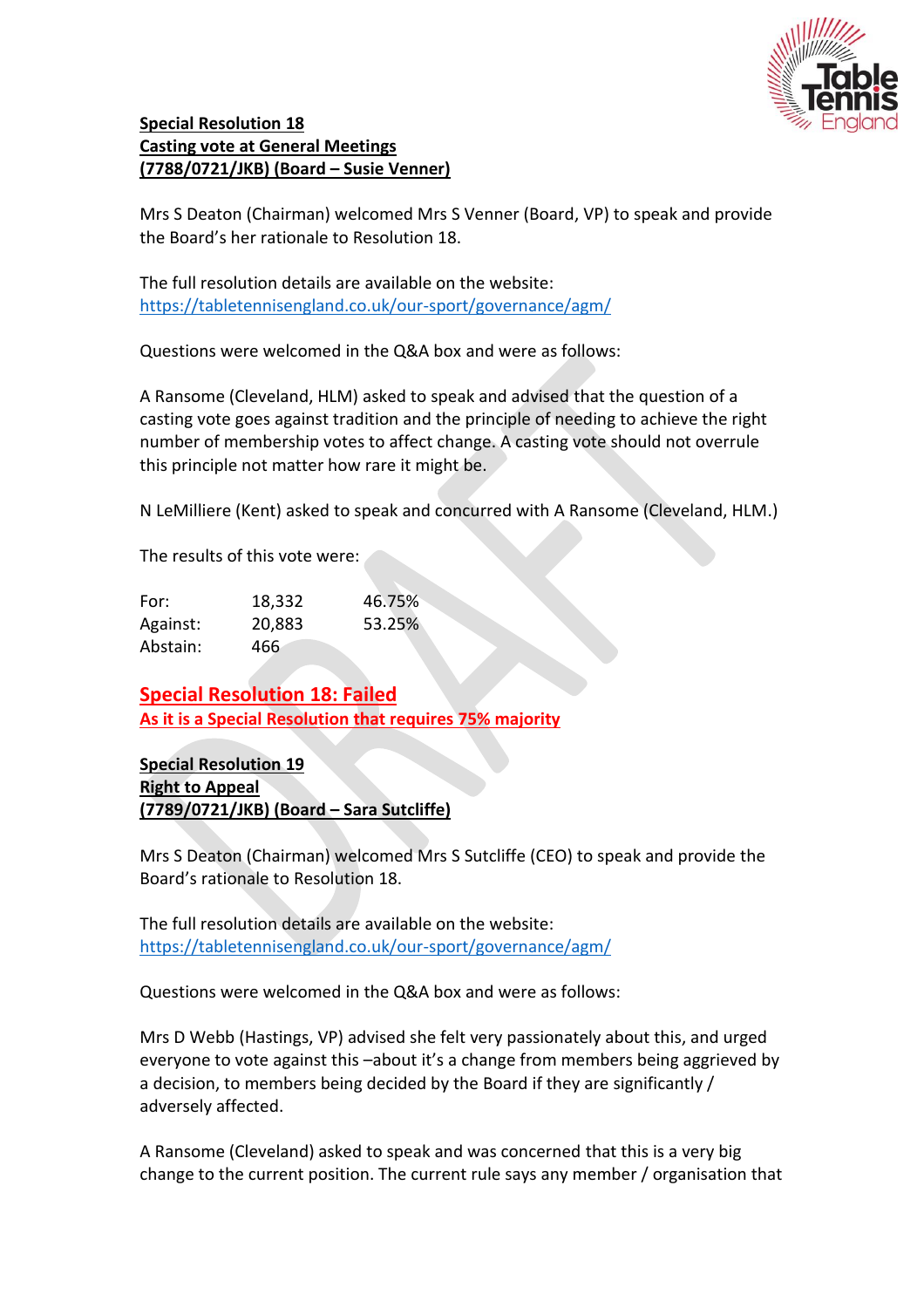

## **Special Resolution 18 Casting vote at General Meetings (7788/0721/JKB) (Board – Susie Venner)**

Mrs S Deaton (Chairman) welcomed Mrs S Venner (Board, VP) to speak and provide the Board's her rationale to Resolution 18.

The full resolution details are available on the website: <https://tabletennisengland.co.uk/our-sport/governance/agm/>

Questions were welcomed in the Q&A box and were as follows:

A Ransome (Cleveland, HLM) asked to speak and advised that the question of a casting vote goes against tradition and the principle of needing to achieve the right number of membership votes to affect change. A casting vote should not overrule this principle not matter how rare it might be.

N LeMilliere (Kent) asked to speak and concurred with A Ransome (Cleveland, HLM.)

The results of this vote were:

| For:     | 18,332 | 46.75% |
|----------|--------|--------|
| Against: | 20,883 | 53.25% |
| Abstain: | 466    |        |

**Special Resolution 18: Failed As it is a Special Resolution that requires 75% majority**

**Special Resolution 19 Right to Appeal (7789/0721/JKB) (Board – Sara Sutcliffe)**

Mrs S Deaton (Chairman) welcomed Mrs S Sutcliffe (CEO) to speak and provide the Board's rationale to Resolution 18.

The full resolution details are available on the website: <https://tabletennisengland.co.uk/our-sport/governance/agm/>

Questions were welcomed in the Q&A box and were as follows:

Mrs D Webb (Hastings, VP) advised she felt very passionately about this, and urged everyone to vote against this –about it's a change from members being aggrieved by a decision, to members being decided by the Board if they are significantly / adversely affected.

A Ransome (Cleveland) asked to speak and was concerned that this is a very big change to the current position. The current rule says any member / organisation that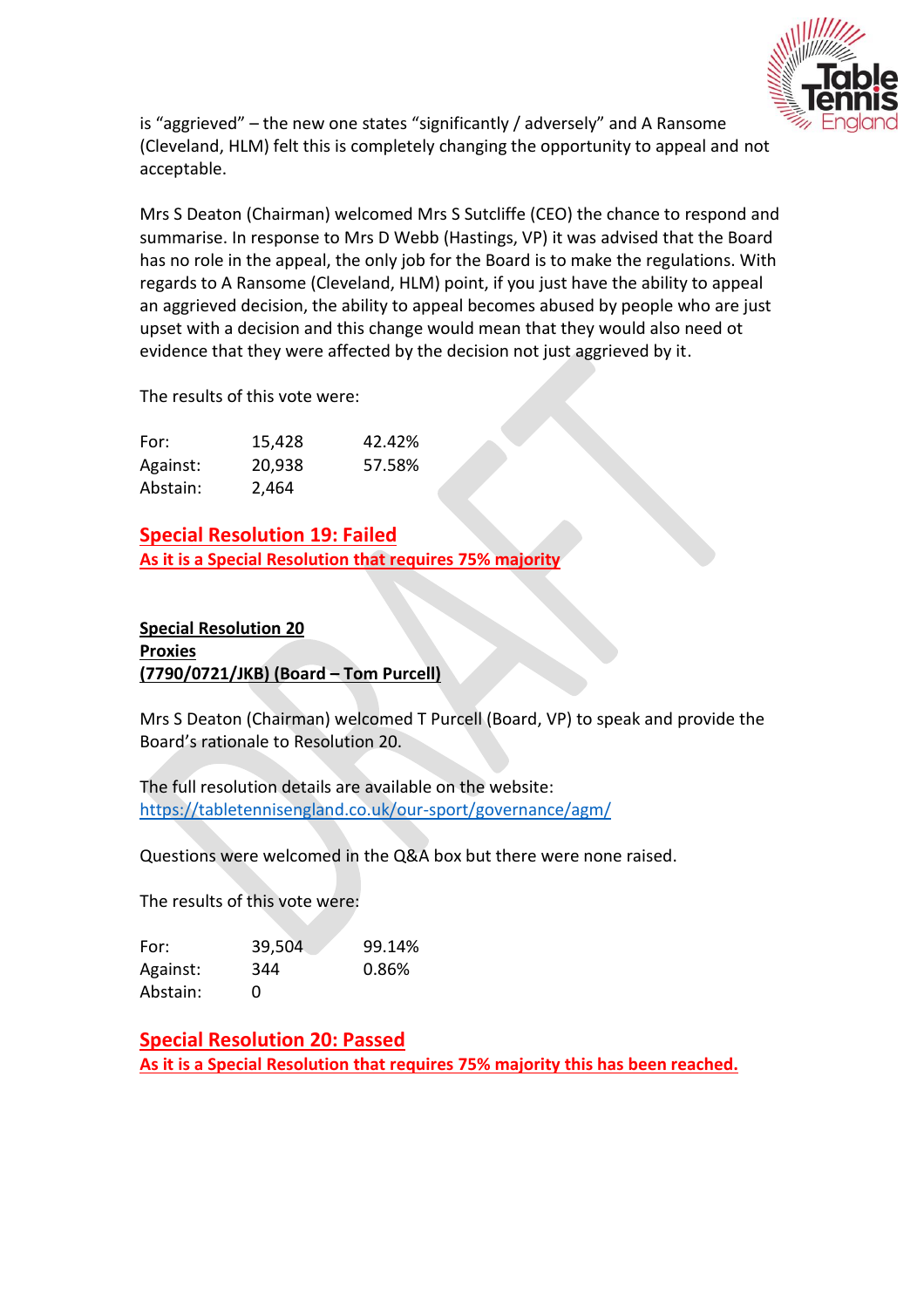

is "aggrieved" – the new one states "significantly / adversely" and A Ransome (Cleveland, HLM) felt this is completely changing the opportunity to appeal and not acceptable.

Mrs S Deaton (Chairman) welcomed Mrs S Sutcliffe (CEO) the chance to respond and summarise. In response to Mrs D Webb (Hastings, VP) it was advised that the Board has no role in the appeal, the only job for the Board is to make the regulations. With regards to A Ransome (Cleveland, HLM) point, if you just have the ability to appeal an aggrieved decision, the ability to appeal becomes abused by people who are just upset with a decision and this change would mean that they would also need ot evidence that they were affected by the decision not just aggrieved by it.

The results of this vote were:

| For:     | 15,428 | 42.42% |
|----------|--------|--------|
| Against: | 20,938 | 57.58% |
| Abstain: | 2,464  |        |

**Special Resolution 19: Failed As it is a Special Resolution that requires 75% majority**

## **Special Resolution 20**

#### **Proxies (7790/0721/JKB) (Board – Tom Purcell)**

Mrs S Deaton (Chairman) welcomed T Purcell (Board, VP) to speak and provide the Board's rationale to Resolution 20.

The full resolution details are available on the website: <https://tabletennisengland.co.uk/our-sport/governance/agm/>

Questions were welcomed in the Q&A box but there were none raised.

The results of this vote were:

| For:     | 39,504 | 99.14% |
|----------|--------|--------|
| Against: | 344    | 0.86%  |
| Abstain: | Ü      |        |

**Special Resolution 20: Passed As it is a Special Resolution that requires 75% majority this has been reached.**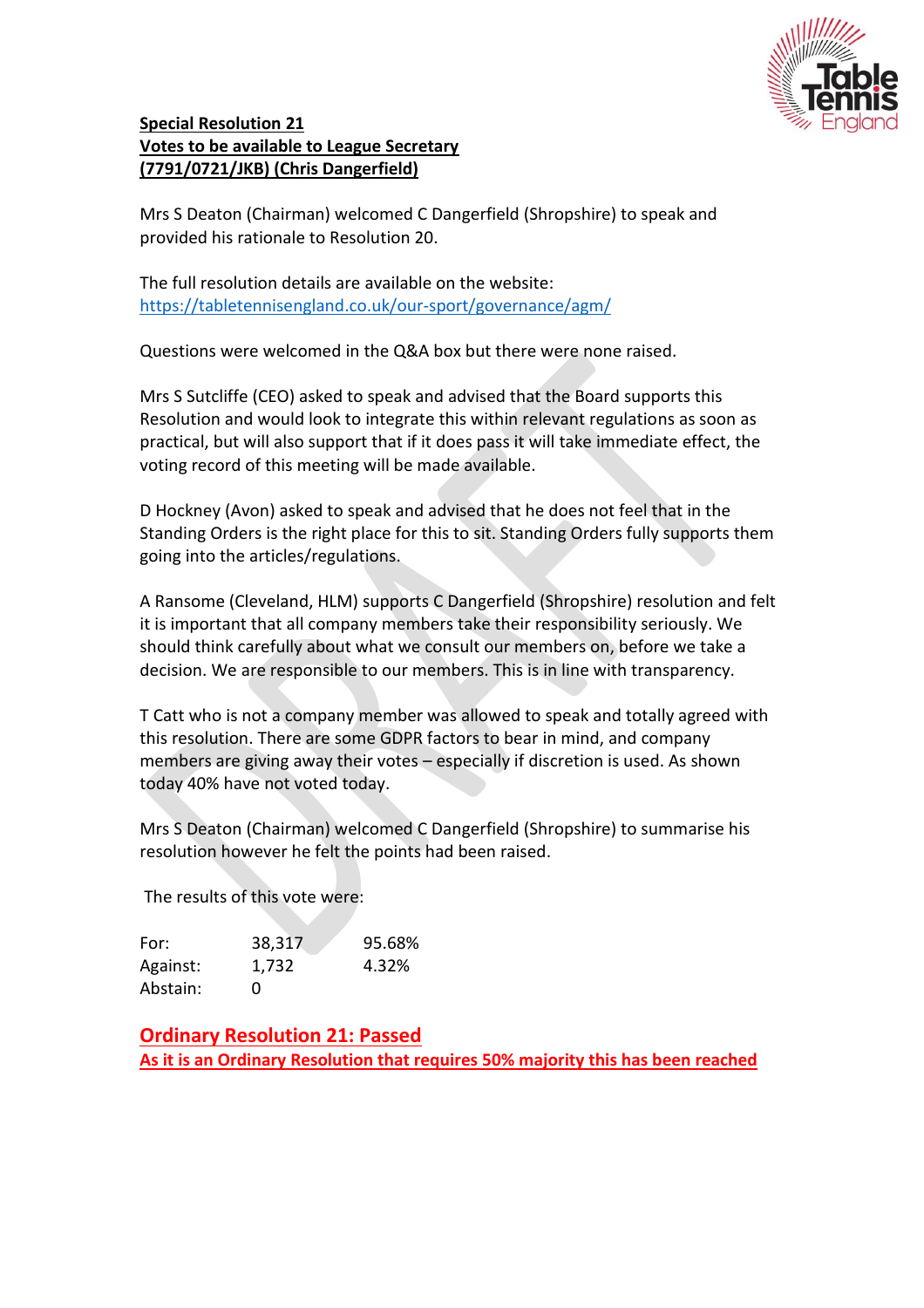

## **Special Resolution 21 Votes to be available to League Secretary (7791/0721/JKB) (Chris Dangerfield)**

Mrs S Deaton (Chairman) welcomed C Dangerfield (Shropshire) to speak and provided his rationale to Resolution 20.

The full resolution details are available on the website: <https://tabletennisengland.co.uk/our-sport/governance/agm/>

Questions were welcomed in the Q&A box but there were none raised.

Mrs S Sutcliffe (CEO) asked to speak and advised that the Board supports this Resolution and would look to integrate this within relevant regulations as soon as practical, but will also support that if it does pass it will take immediate effect, the voting record of this meeting will be made available.

D Hockney (Avon) asked to speak and advised that he does not feel that in the Standing Orders is the right place for this to sit. Standing Orders fully supports them going into the articles/regulations.

A Ransome (Cleveland, HLM) supports C Dangerfield (Shropshire) resolution and felt it is important that all company members take their responsibility seriously. We should think carefully about what we consult our members on, before we take a decision. We are responsible to our members. This is in line with transparency.

T Catt who is not a company member was allowed to speak and totally agreed with this resolution. There are some GDPR factors to bear in mind, and company members are giving away their votes – especially if discretion is used. As shown today 40% have not voted today.

Mrs S Deaton (Chairman) welcomed C Dangerfield (Shropshire) to summarise his resolution however he felt the points had been raised.

The results of this vote were:

| For:     | 38,317   | 95.68% |
|----------|----------|--------|
| Against: | 1,732    | 4.32%  |
| Abstain: | $^{(1)}$ |        |

**Ordinary Resolution 21: Passed As it is an Ordinary Resolution that requires 50% majority this has been reached**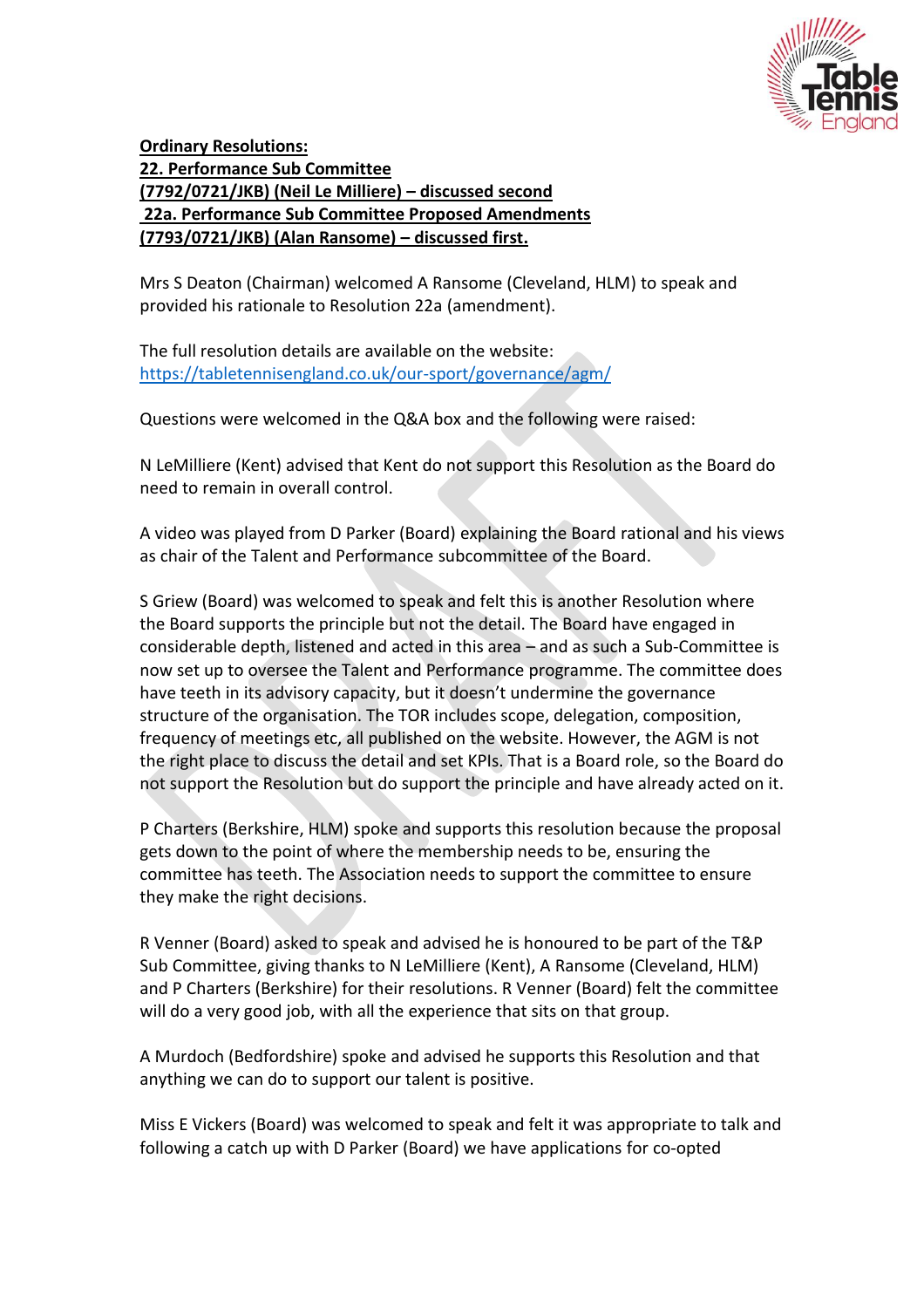

**Ordinary Resolutions: 22. Performance Sub Committee (7792/0721/JKB) (Neil Le Milliere) – discussed second 22a. Performance Sub Committee Proposed Amendments (7793/0721/JKB) (Alan Ransome) – discussed first.**

Mrs S Deaton (Chairman) welcomed A Ransome (Cleveland, HLM) to speak and provided his rationale to Resolution 22a (amendment).

The full resolution details are available on the website: <https://tabletennisengland.co.uk/our-sport/governance/agm/>

Questions were welcomed in the Q&A box and the following were raised:

N LeMilliere (Kent) advised that Kent do not support this Resolution as the Board do need to remain in overall control.

A video was played from D Parker (Board) explaining the Board rational and his views as chair of the Talent and Performance subcommittee of the Board.

S Griew (Board) was welcomed to speak and felt this is another Resolution where the Board supports the principle but not the detail. The Board have engaged in considerable depth, listened and acted in this area – and as such a Sub-Committee is now set up to oversee the Talent and Performance programme. The committee does have teeth in its advisory capacity, but it doesn't undermine the governance structure of the organisation. The TOR includes scope, delegation, composition, frequency of meetings etc, all published on the website. However, the AGM is not the right place to discuss the detail and set KPIs. That is a Board role, so the Board do not support the Resolution but do support the principle and have already acted on it.

P Charters (Berkshire, HLM) spoke and supports this resolution because the proposal gets down to the point of where the membership needs to be, ensuring the committee has teeth. The Association needs to support the committee to ensure they make the right decisions.

R Venner (Board) asked to speak and advised he is honoured to be part of the T&P Sub Committee, giving thanks to N LeMilliere (Kent), A Ransome (Cleveland, HLM) and P Charters (Berkshire) for their resolutions. R Venner (Board) felt the committee will do a very good job, with all the experience that sits on that group.

A Murdoch (Bedfordshire) spoke and advised he supports this Resolution and that anything we can do to support our talent is positive.

Miss E Vickers (Board) was welcomed to speak and felt it was appropriate to talk and following a catch up with D Parker (Board) we have applications for co-opted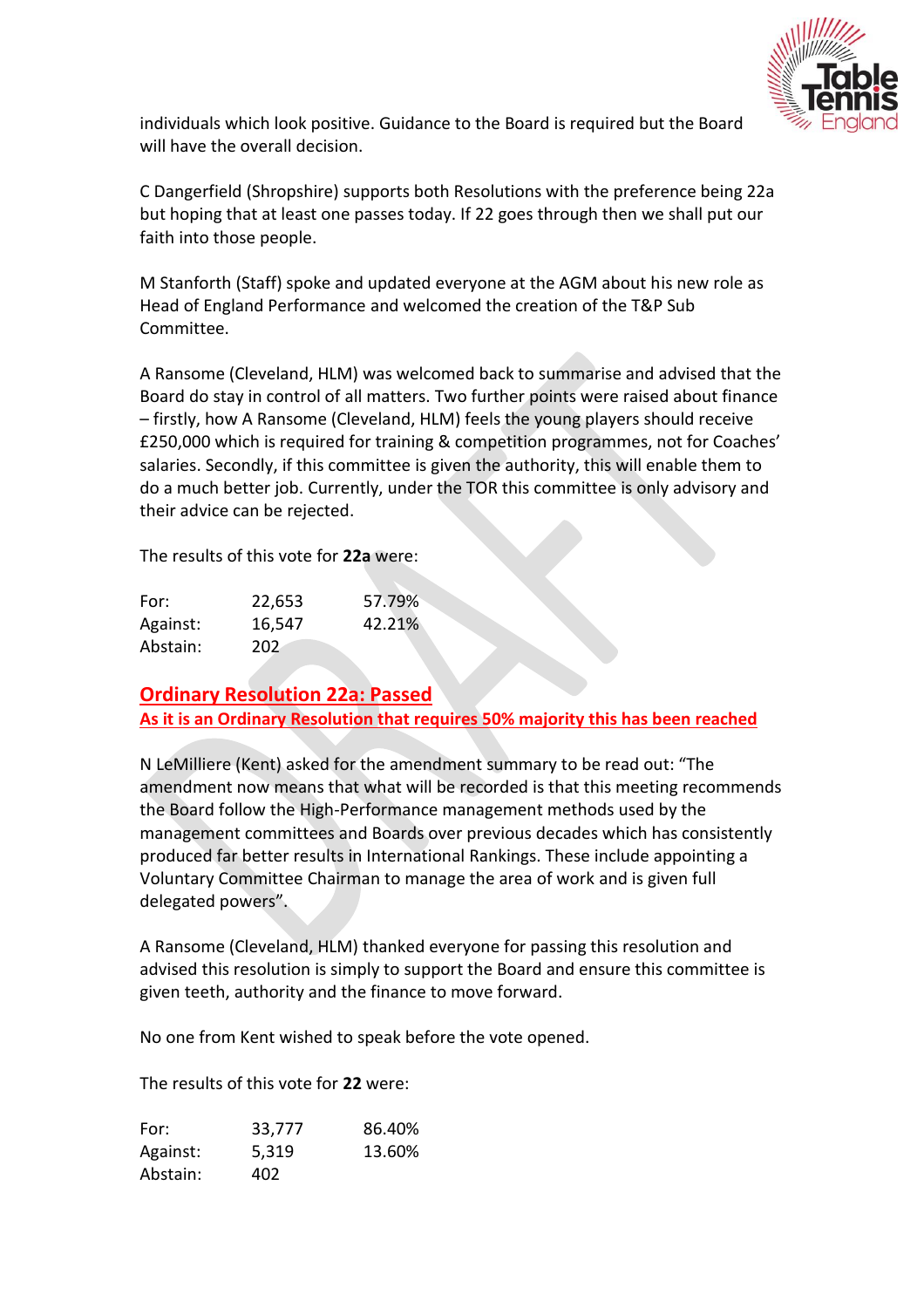

individuals which look positive. Guidance to the Board is required but the Board will have the overall decision.

C Dangerfield (Shropshire) supports both Resolutions with the preference being 22a but hoping that at least one passes today. If 22 goes through then we shall put our faith into those people.

M Stanforth (Staff) spoke and updated everyone at the AGM about his new role as Head of England Performance and welcomed the creation of the T&P Sub Committee.

A Ransome (Cleveland, HLM) was welcomed back to summarise and advised that the Board do stay in control of all matters. Two further points were raised about finance – firstly, how A Ransome (Cleveland, HLM) feels the young players should receive £250,000 which is required for training & competition programmes, not for Coaches' salaries. Secondly, if this committee is given the authority, this will enable them to do a much better job. Currently, under the TOR this committee is only advisory and their advice can be rejected.

The results of this vote for **22a** were:

| For:     | 22,653 | 57.79% |
|----------|--------|--------|
| Against: | 16,547 | 42.21% |
| Abstain: | 202    |        |

**Ordinary Resolution 22a: Passed As it is an Ordinary Resolution that requires 50% majority this has been reached**

N LeMilliere (Kent) asked for the amendment summary to be read out: "The amendment now means that what will be recorded is that this meeting recommends the Board follow the High-Performance management methods used by the management committees and Boards over previous decades which has consistently produced far better results in International Rankings. These include appointing a Voluntary Committee Chairman to manage the area of work and is given full delegated powers".

A Ransome (Cleveland, HLM) thanked everyone for passing this resolution and advised this resolution is simply to support the Board and ensure this committee is given teeth, authority and the finance to move forward.

No one from Kent wished to speak before the vote opened.

The results of this vote for **22** were:

| For:     | 33,777 | 86.40% |
|----------|--------|--------|
| Against: | 5,319  | 13.60% |
| Abstain: | 402    |        |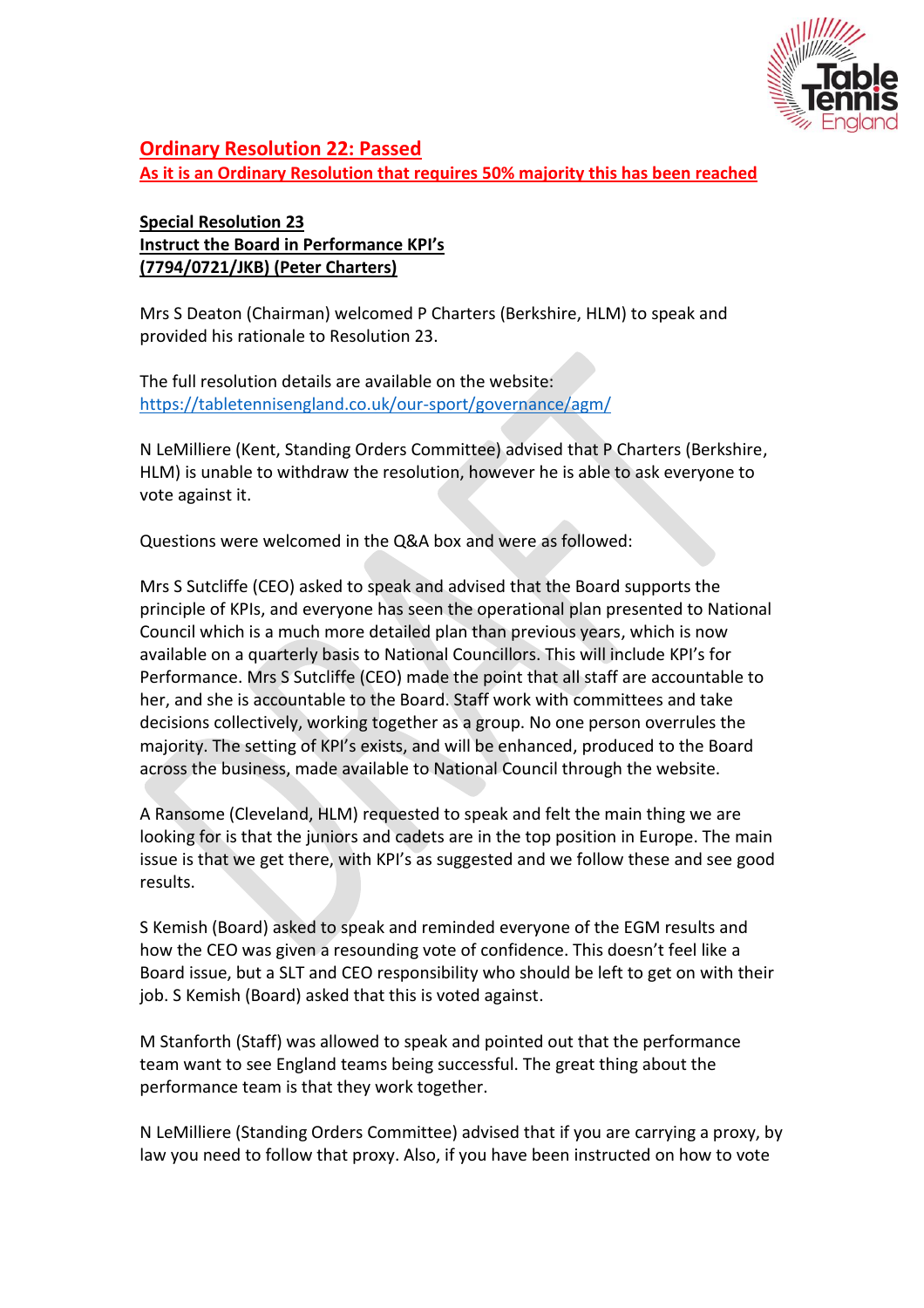

## **Ordinary Resolution 22: Passed**

**As it is an Ordinary Resolution that requires 50% majority this has been reached**

## **Special Resolution 23 Instruct the Board in Performance KPI's (7794/0721/JKB) (Peter Charters)**

Mrs S Deaton (Chairman) welcomed P Charters (Berkshire, HLM) to speak and provided his rationale to Resolution 23.

The full resolution details are available on the website: <https://tabletennisengland.co.uk/our-sport/governance/agm/>

N LeMilliere (Kent, Standing Orders Committee) advised that P Charters (Berkshire, HLM) is unable to withdraw the resolution, however he is able to ask everyone to vote against it.

Questions were welcomed in the Q&A box and were as followed:

Mrs S Sutcliffe (CEO) asked to speak and advised that the Board supports the principle of KPIs, and everyone has seen the operational plan presented to National Council which is a much more detailed plan than previous years, which is now available on a quarterly basis to National Councillors. This will include KPI's for Performance. Mrs S Sutcliffe (CEO) made the point that all staff are accountable to her, and she is accountable to the Board. Staff work with committees and take decisions collectively, working together as a group. No one person overrules the majority. The setting of KPI's exists, and will be enhanced, produced to the Board across the business, made available to National Council through the website.

A Ransome (Cleveland, HLM) requested to speak and felt the main thing we are looking for is that the juniors and cadets are in the top position in Europe. The main issue is that we get there, with KPI's as suggested and we follow these and see good results.

S Kemish (Board) asked to speak and reminded everyone of the EGM results and how the CEO was given a resounding vote of confidence. This doesn't feel like a Board issue, but a SLT and CEO responsibility who should be left to get on with their job. S Kemish (Board) asked that this is voted against.

M Stanforth (Staff) was allowed to speak and pointed out that the performance team want to see England teams being successful. The great thing about the performance team is that they work together.

N LeMilliere (Standing Orders Committee) advised that if you are carrying a proxy, by law you need to follow that proxy. Also, if you have been instructed on how to vote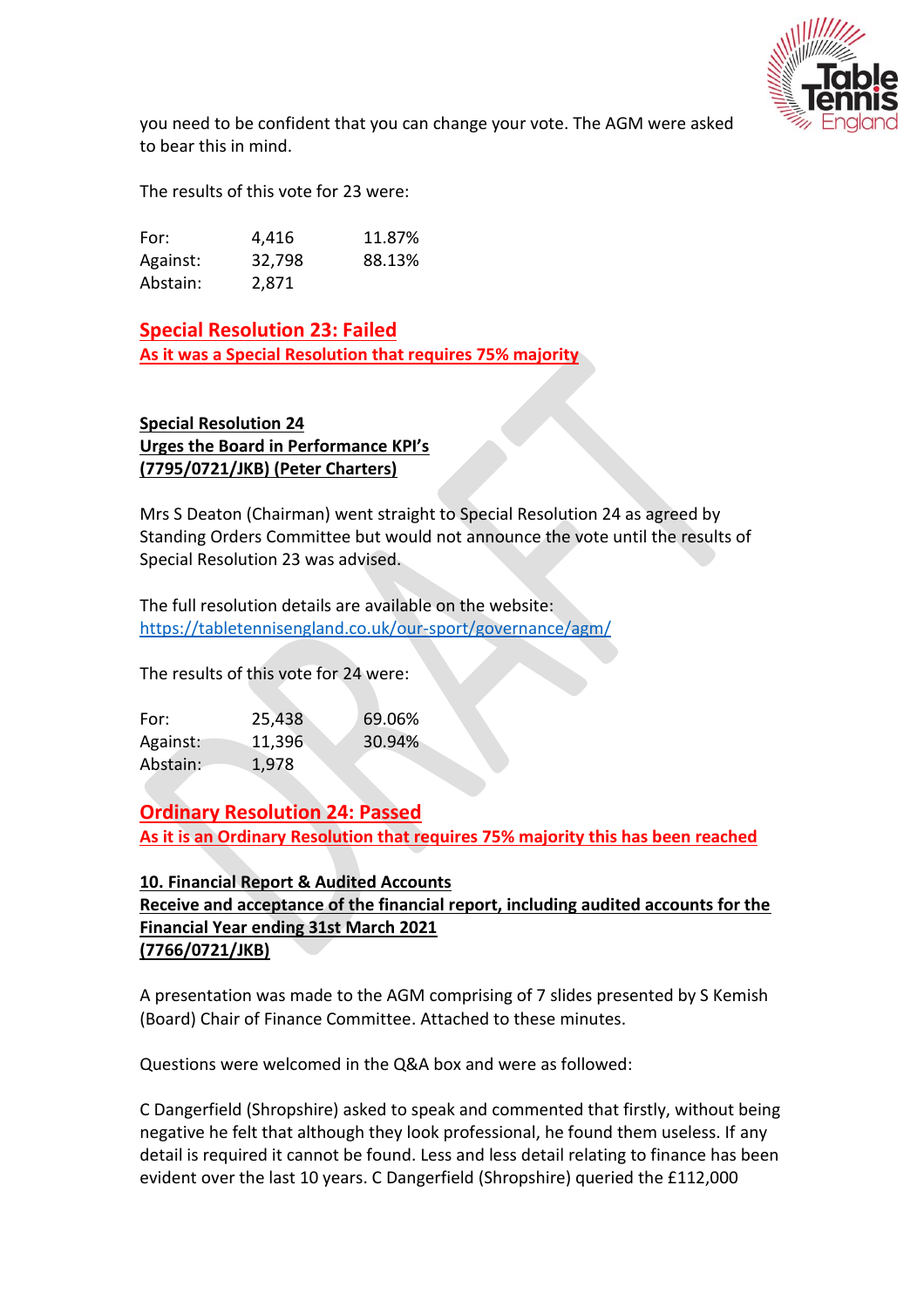

you need to be confident that you can change your vote. The AGM were asked to bear this in mind.

The results of this vote for 23 were:

| For:     | 4,416  | 11.87% |
|----------|--------|--------|
| Against: | 32,798 | 88.13% |
| Abstain: | 2,871  |        |

## **Special Resolution 23: Failed**

**As it was a Special Resolution that requires 75% majority**

#### **Special Resolution 24 Urges the Board in Performance KPI's (7795/0721/JKB) (Peter Charters)**

Mrs S Deaton (Chairman) went straight to Special Resolution 24 as agreed by Standing Orders Committee but would not announce the vote until the results of Special Resolution 23 was advised.

The full resolution details are available on the website: <https://tabletennisengland.co.uk/our-sport/governance/agm/>

The results of this vote for 24 were:

| For:     | 25,438 | 69.06% |
|----------|--------|--------|
| Against: | 11,396 | 30.94% |
| Abstain: | 1,978  |        |

**Ordinary Resolution 24: Passed As it is an Ordinary Resolution that requires 75% majority this has been reached**

## **10. Financial Report & Audited Accounts Receive and acceptance of the financial report, including audited accounts for the Financial Year ending 31st March 2021 (7766/0721/JKB)**

A presentation was made to the AGM comprising of 7 slides presented by S Kemish (Board) Chair of Finance Committee. Attached to these minutes.

Questions were welcomed in the Q&A box and were as followed:

C Dangerfield (Shropshire) asked to speak and commented that firstly, without being negative he felt that although they look professional, he found them useless. If any detail is required it cannot be found. Less and less detail relating to finance has been evident over the last 10 years. C Dangerfield (Shropshire) queried the £112,000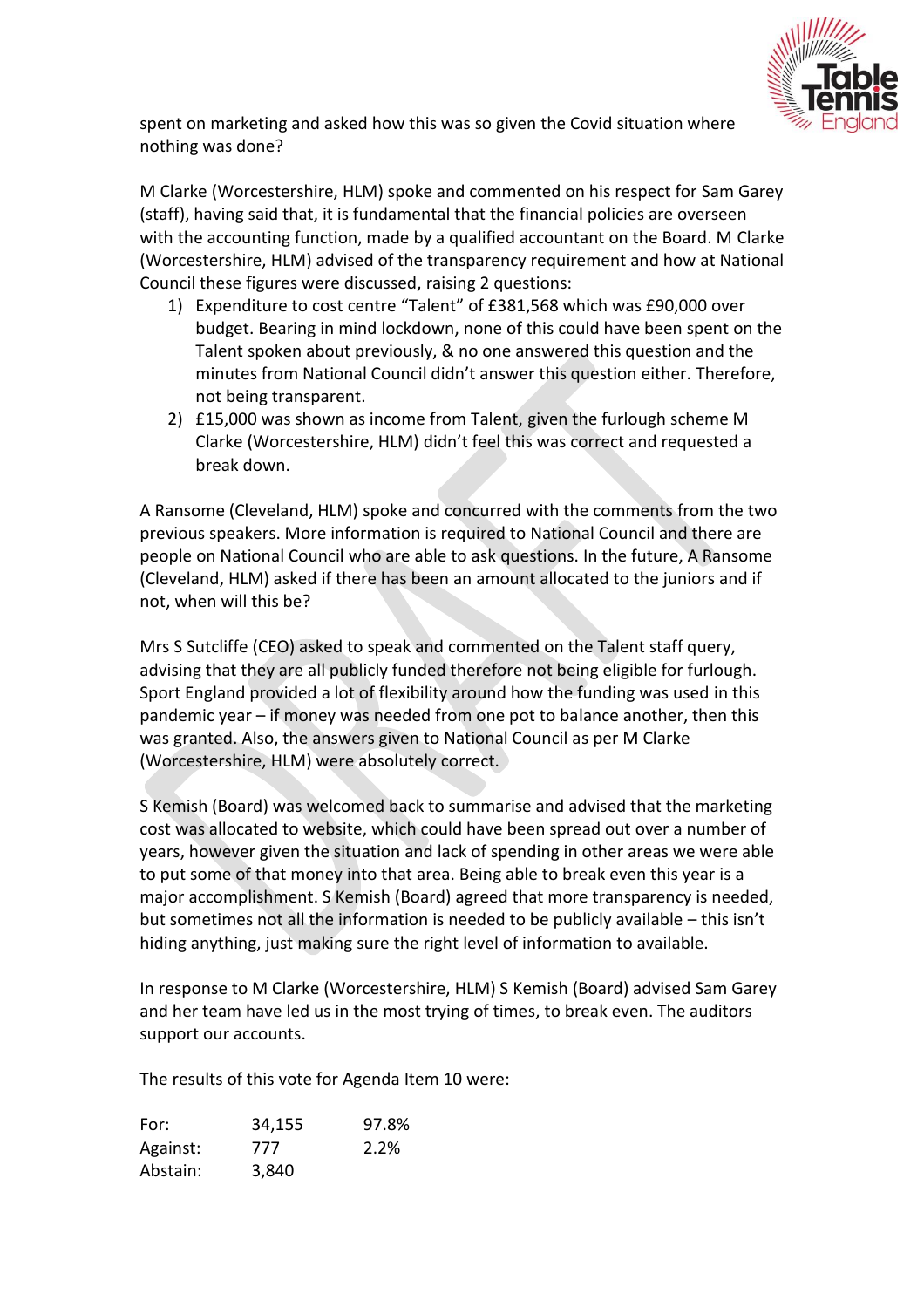

spent on marketing and asked how this was so given the Covid situation where nothing was done?

M Clarke (Worcestershire, HLM) spoke and commented on his respect for Sam Garey (staff), having said that, it is fundamental that the financial policies are overseen with the accounting function, made by a qualified accountant on the Board. M Clarke (Worcestershire, HLM) advised of the transparency requirement and how at National Council these figures were discussed, raising 2 questions:

- 1) Expenditure to cost centre "Talent" of £381,568 which was £90,000 over budget. Bearing in mind lockdown, none of this could have been spent on the Talent spoken about previously, & no one answered this question and the minutes from National Council didn't answer this question either. Therefore, not being transparent.
- 2) £15,000 was shown as income from Talent, given the furlough scheme M Clarke (Worcestershire, HLM) didn't feel this was correct and requested a break down.

A Ransome (Cleveland, HLM) spoke and concurred with the comments from the two previous speakers. More information is required to National Council and there are people on National Council who are able to ask questions. In the future, A Ransome (Cleveland, HLM) asked if there has been an amount allocated to the juniors and if not, when will this be?

Mrs S Sutcliffe (CEO) asked to speak and commented on the Talent staff query, advising that they are all publicly funded therefore not being eligible for furlough. Sport England provided a lot of flexibility around how the funding was used in this pandemic year – if money was needed from one pot to balance another, then this was granted. Also, the answers given to National Council as per M Clarke (Worcestershire, HLM) were absolutely correct.

S Kemish (Board) was welcomed back to summarise and advised that the marketing cost was allocated to website, which could have been spread out over a number of years, however given the situation and lack of spending in other areas we were able to put some of that money into that area. Being able to break even this year is a major accomplishment. S Kemish (Board) agreed that more transparency is needed, but sometimes not all the information is needed to be publicly available – this isn't hiding anything, just making sure the right level of information to available.

In response to M Clarke (Worcestershire, HLM) S Kemish (Board) advised Sam Garey and her team have led us in the most trying of times, to break even. The auditors support our accounts.

The results of this vote for Agenda Item 10 were:

| For:     | 34,155 | 97.8% |
|----------|--------|-------|
| Against: | 777    | 2.2%  |
| Abstain: | 3,840  |       |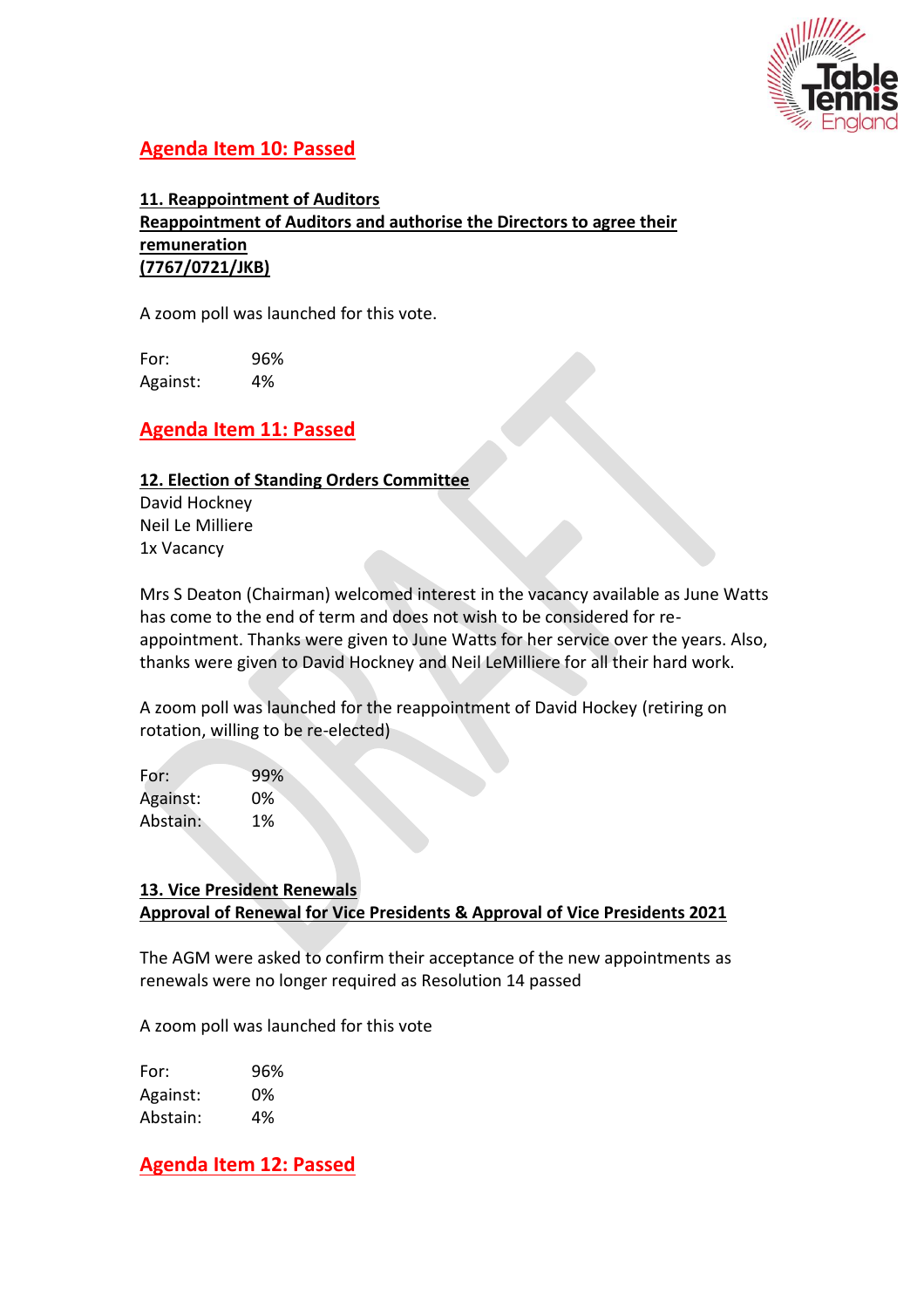

# **Agenda Item 10: Passed**

**11. Reappointment of Auditors Reappointment of Auditors and authorise the Directors to agree their remuneration (7767/0721/JKB)** 

A zoom poll was launched for this vote.

For: 96% Against: 4%

# **Agenda Item 11: Passed**

#### **12. Election of Standing Orders Committee**

David Hockney Neil Le Milliere 1x Vacancy

Mrs S Deaton (Chairman) welcomed interest in the vacancy available as June Watts has come to the end of term and does not wish to be considered for reappointment. Thanks were given to June Watts for her service over the years. Also, thanks were given to David Hockney and Neil LeMilliere for all their hard work.

A zoom poll was launched for the reappointment of David Hockey (retiring on rotation, willing to be re-elected)

| 99% |
|-----|
| 0%  |
| 1%  |
|     |

## **13. Vice President Renewals Approval of Renewal for Vice Presidents & Approval of Vice Presidents 2021**

The AGM were asked to confirm their acceptance of the new appointments as renewals were no longer required as Resolution 14 passed

A zoom poll was launched for this vote

| For:     | 96% |
|----------|-----|
| Against: | 0%  |
| Abstain: | 4%  |

**Agenda Item 12: Passed**